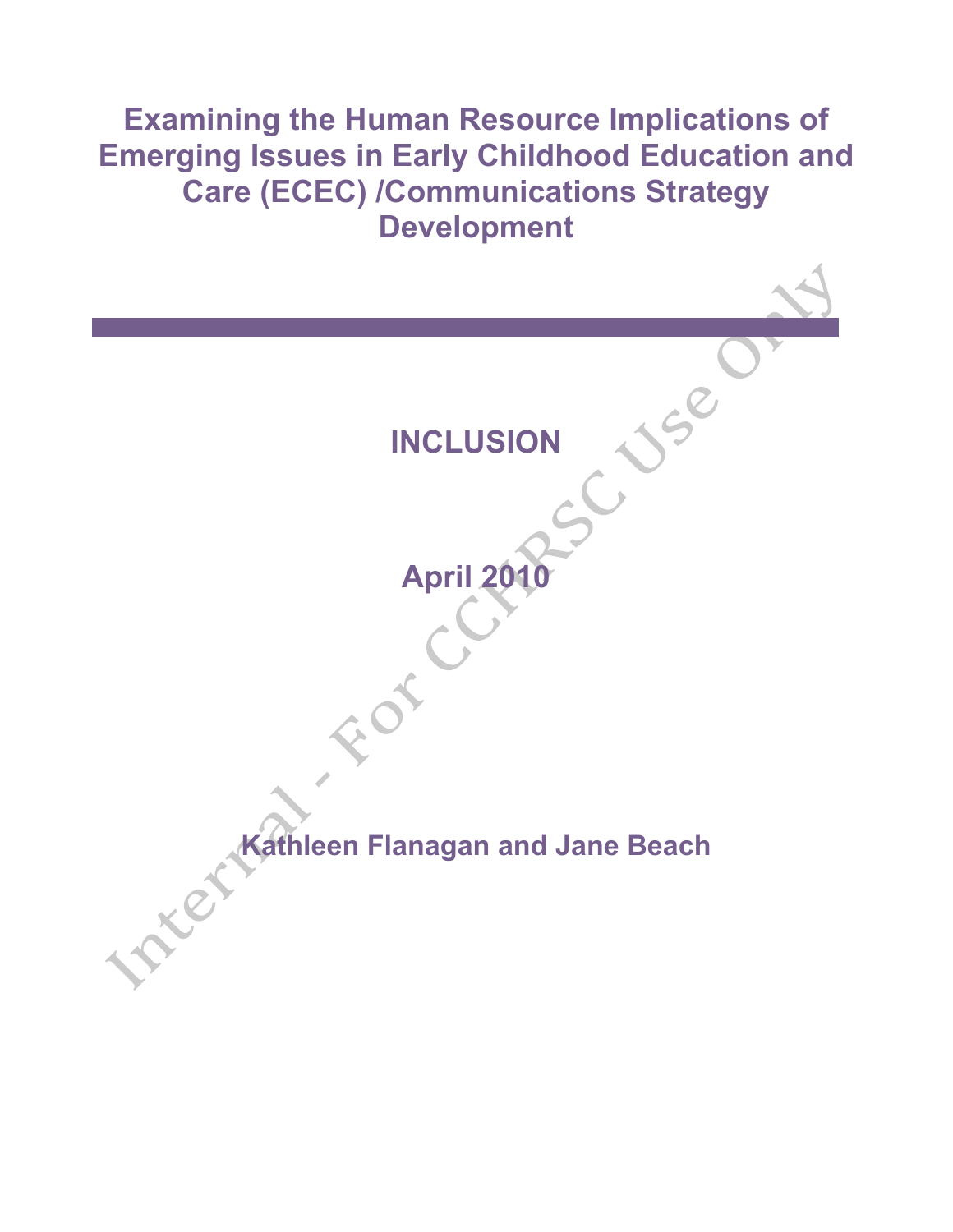# **Examining the Human Resource Implications of Emerging Issues in Early Childhood Education and Care (ECEC) /Communications Strategy Development**

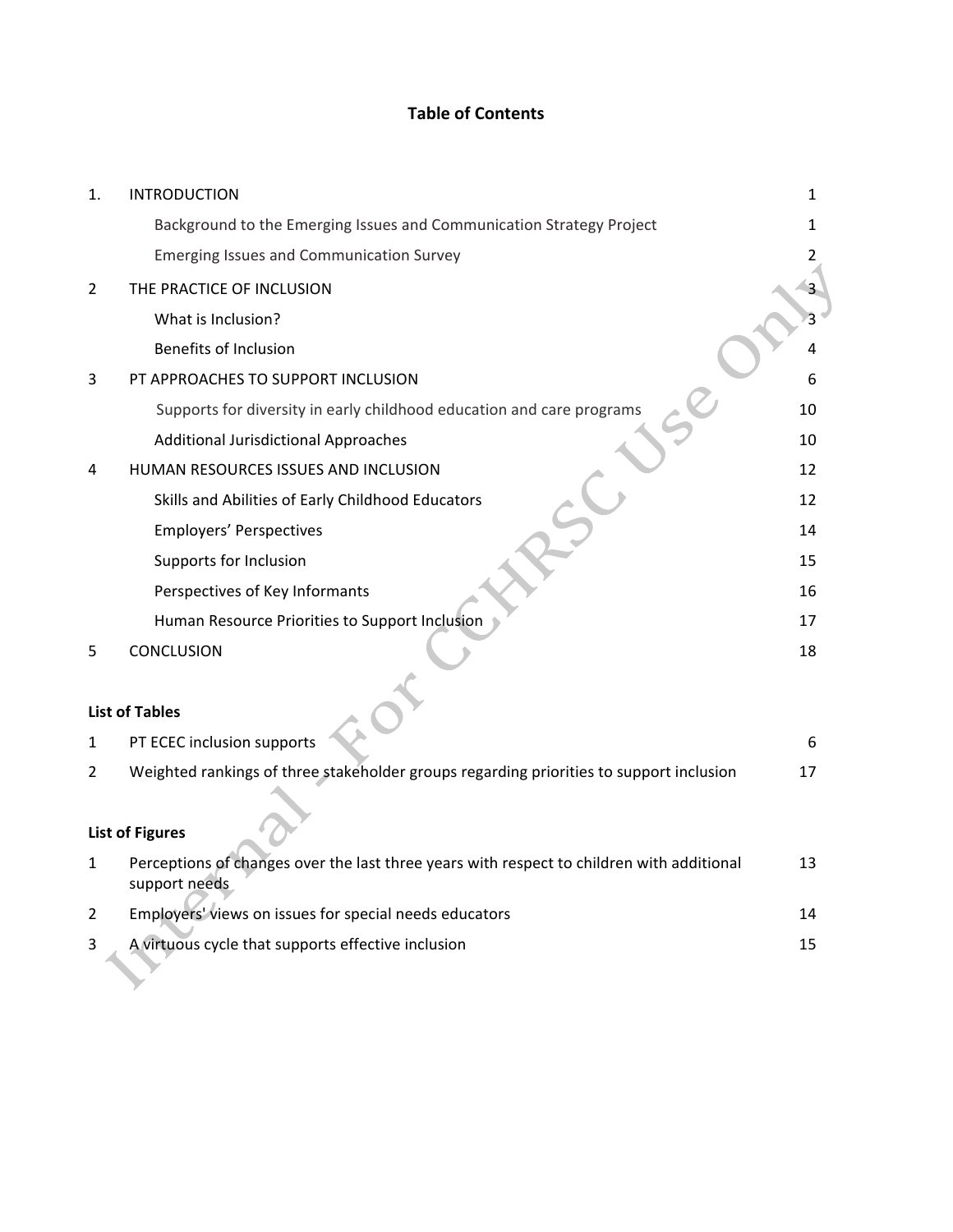# **Table of Contents**

| 1.             | <b>INTRODUCTION</b>                                                                                        | 1  |
|----------------|------------------------------------------------------------------------------------------------------------|----|
|                | Background to the Emerging Issues and Communication Strategy Project                                       | 1  |
|                | <b>Emerging Issues and Communication Survey</b>                                                            | 2  |
| $\overline{2}$ | THE PRACTICE OF INCLUSION                                                                                  |    |
|                | What is Inclusion?                                                                                         |    |
|                | <b>Benefits of Inclusion</b>                                                                               |    |
| 3              | PT APPROACHES TO SUPPORT INCLUSION                                                                         | 6  |
|                | Supports for diversity in early childhood education and care programs                                      | 10 |
|                | <b>Additional Jurisdictional Approaches</b>                                                                | 10 |
| 4              | HUMAN RESOURCES ISSUES AND INCLUSION                                                                       | 12 |
|                | Skills and Abilities of Early Childhood Educators                                                          | 12 |
|                | <b>Employers' Perspectives</b>                                                                             | 14 |
|                | Supports for Inclusion                                                                                     | 15 |
|                | Perspectives of Key Informants                                                                             | 16 |
|                | Human Resource Priorities to Support Inclusion                                                             | 17 |
| 5              | <b>CONCLUSION</b>                                                                                          | 18 |
|                | <b>List of Tables</b>                                                                                      |    |
| 1              | PT ECEC inclusion supports                                                                                 | 6  |
| 2              | Weighted rankings of three stakeholder groups regarding priorities to support inclusion                    | 17 |
|                | <b>List of Figures</b>                                                                                     |    |
| 1              | Perceptions of changes over the last three years with respect to children with additional<br>support needs | 13 |
| 2              | Employers' views on issues for special needs educators                                                     | 14 |
| 3              | A virtuous cycle that supports effective inclusion                                                         | 15 |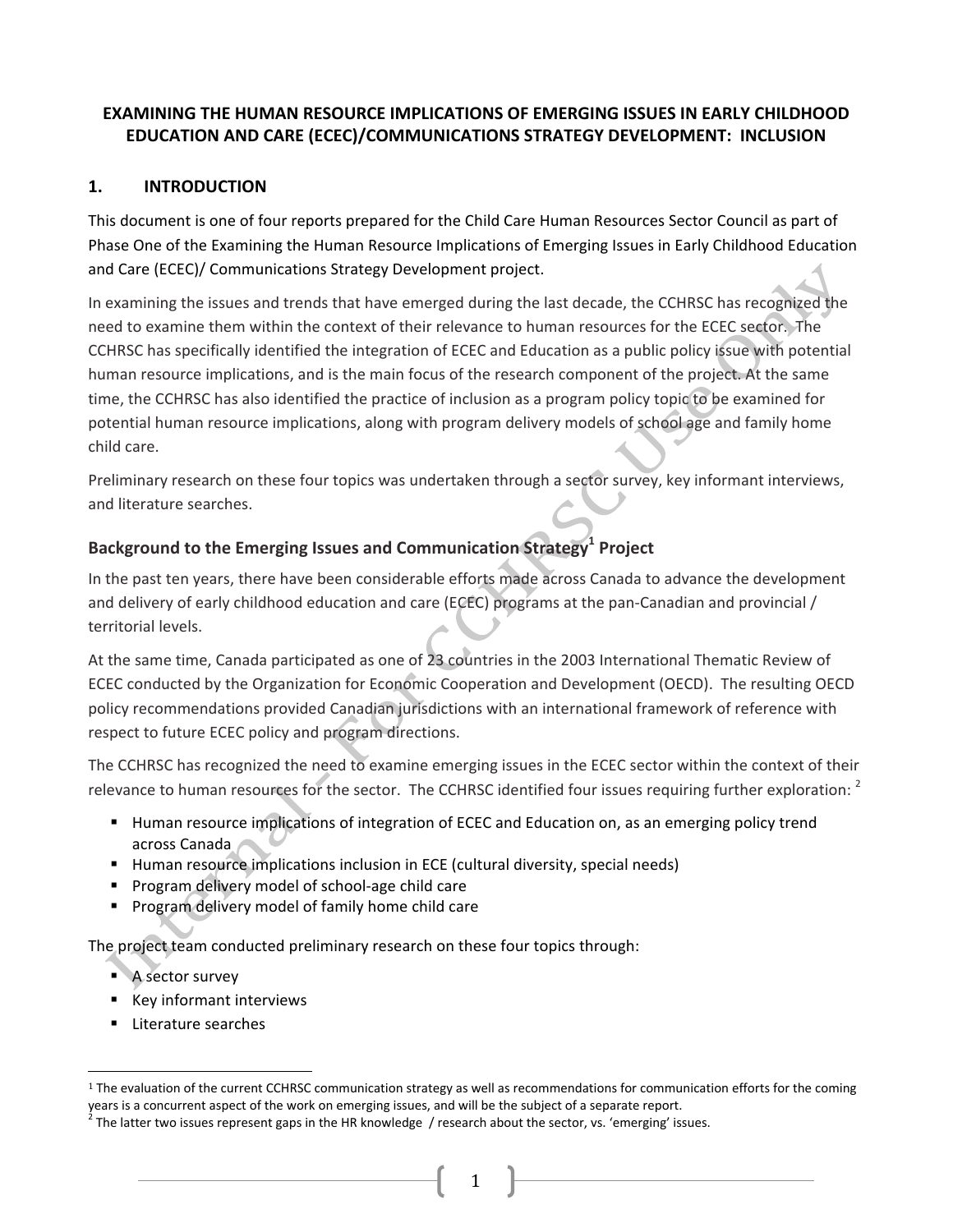# **EXAMINING THE HUMAN RESOURCE IMPLICATIONS OF EMERGING ISSUES IN EARLY CHILDHOOD** EDUCATION AND CARE (ECEC)/COMMUNICATIONS STRATEGY DEVELOPMENT: INCLUSION

#### 1. **INTRODUCTION**

This document is one of four reports prepared for the Child Care Human Resources Sector Council as part of Phase One of the Examining the Human Resource Implications of Emerging Issues in Early Childhood Education and Care (ECEC)/ Communications Strategy Development project.

In examining the issues and trends that have emerged during the last decade, the CCHRSC has recognized the need to examine them within the context of their relevance to human resources for the ECEC sector. The CCHRSC has specifically identified the integration of ECEC and Education as a public policy issue with potential human resource implications, and is the main focus of the research component of the project. At the same time, the CCHRSC has also identified the practice of inclusion as a program policy topic to be examined for potential human resource implications, along with program delivery models of school age and family home child care.

Preliminary research on these four topics was undertaken through a sector survey, key informant interviews, and literature searches.

# Background to the Emerging Issues and Communication Strategy<sup>1</sup> Project

In the past ten years, there have been considerable efforts made across Canada to advance the development and delivery of early childhood education and care (ECEC) programs at the pan-Canadian and provincial / territorial levels.

At the same time, Canada participated as one of 23 countries in the 2003 International Thematic Review of ECEC conducted by the Organization for Economic Cooperation and Development (OECD). The resulting OECD policy recommendations provided Canadian jurisdictions with an international framework of reference with respect to future ECEC policy and program directions.

The CCHRSC has recognized the need to examine emerging issues in the ECEC sector within the context of their relevance to human resources for the sector. The CCHRSC identified four issues requiring further exploration: <sup>2</sup>

- " Human resource implications of integration of ECEC and Education on, as an emerging policy trend across Canada
- Human resource implications inclusion in ECE (cultural diversity, special needs)
- Program delivery model of school-age child care
- Program delivery model of family home child care

The project team conducted preliminary research on these four topics through:

- A sector survey
- Key informant interviews
- Literature searches

<sup>&</sup>lt;sup>1</sup> The evaluation of the current CCHRSC communication strategy as well as recommendations for communication efforts for the coming years is a concurrent aspect of the work on emerging issues, and will be the subject of a separate report.

 $^2$  The latter two issues represent gaps in the HR knowledge / research about the sector, vs. 'emerging' issues.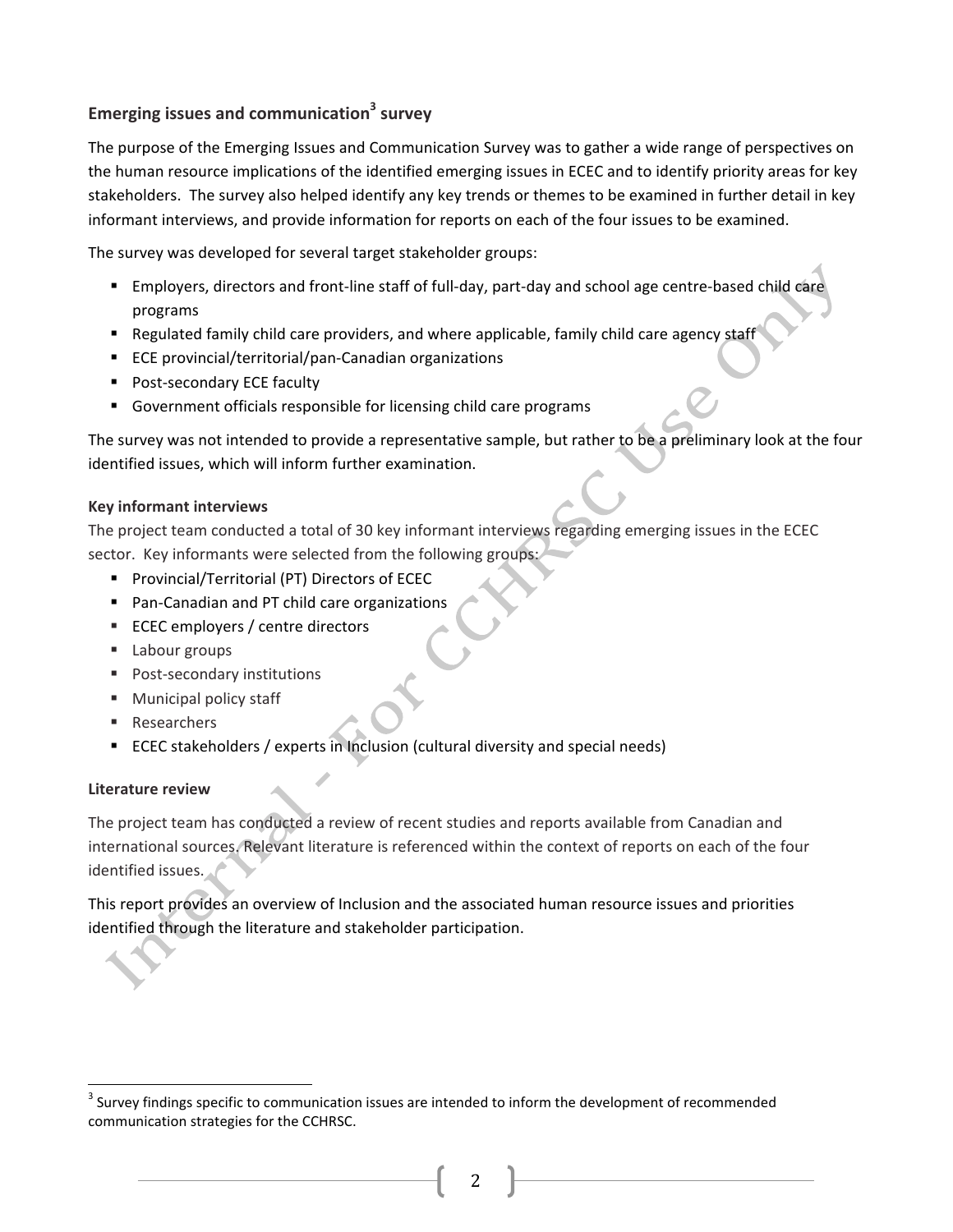# Emerging issues and communication<sup>3</sup> survey

The purpose of the Emerging Issues and Communication Survey was to gather a wide range of perspectives on the human resource implications of the identified emerging issues in ECEC and to identify priority areas for key stakeholders. The survey also helped identify any key trends or themes to be examined in further detail in key informant interviews, and provide information for reports on each of the four issues to be examined.

The survey was developed for several target stakeholder groups:

- Employers, directors and front-line staff of full-day, part-day and school age centre-based child care programs
- " Regulated family child care providers, and where applicable, family child care agency staff
- ECE provincial/territorial/pan-Canadian organizations
- Post-secondary ECE faculty
- Government officials responsible for licensing child care programs

The survey was not intended to provide a representative sample, but rather to be a preliminary look at the four identified issues, which will inform further examination.

#### **Key informant interviews**

The project team conducted a total of 30 key informant interviews regarding emerging issues in the ECEC sector. Key informants were selected from the following groups:

- Provincial/Territorial (PT) Directors of ECEC
- Pan-Canadian and PT child care organizations
- ECEC employers / centre directors
- " Labour groups
- Post-secondary institutions
- Municipal policy staff
- Researchers
- ECEC stakeholders / experts in Inclusion (cultural diversity and special needs)

#### Literature review

The project team has conducted a review of recent studies and reports available from Canadian and international sources. Relevant literature is referenced within the context of reports on each of the four identified issues.

This report provides an overview of Inclusion and the associated human resource issues and priorities identified through the literature and stakeholder participation.

<sup>&</sup>lt;sup>3</sup> Survey findings specific to communication issues are intended to inform the development of recommended communication strategies for the CCHRSC.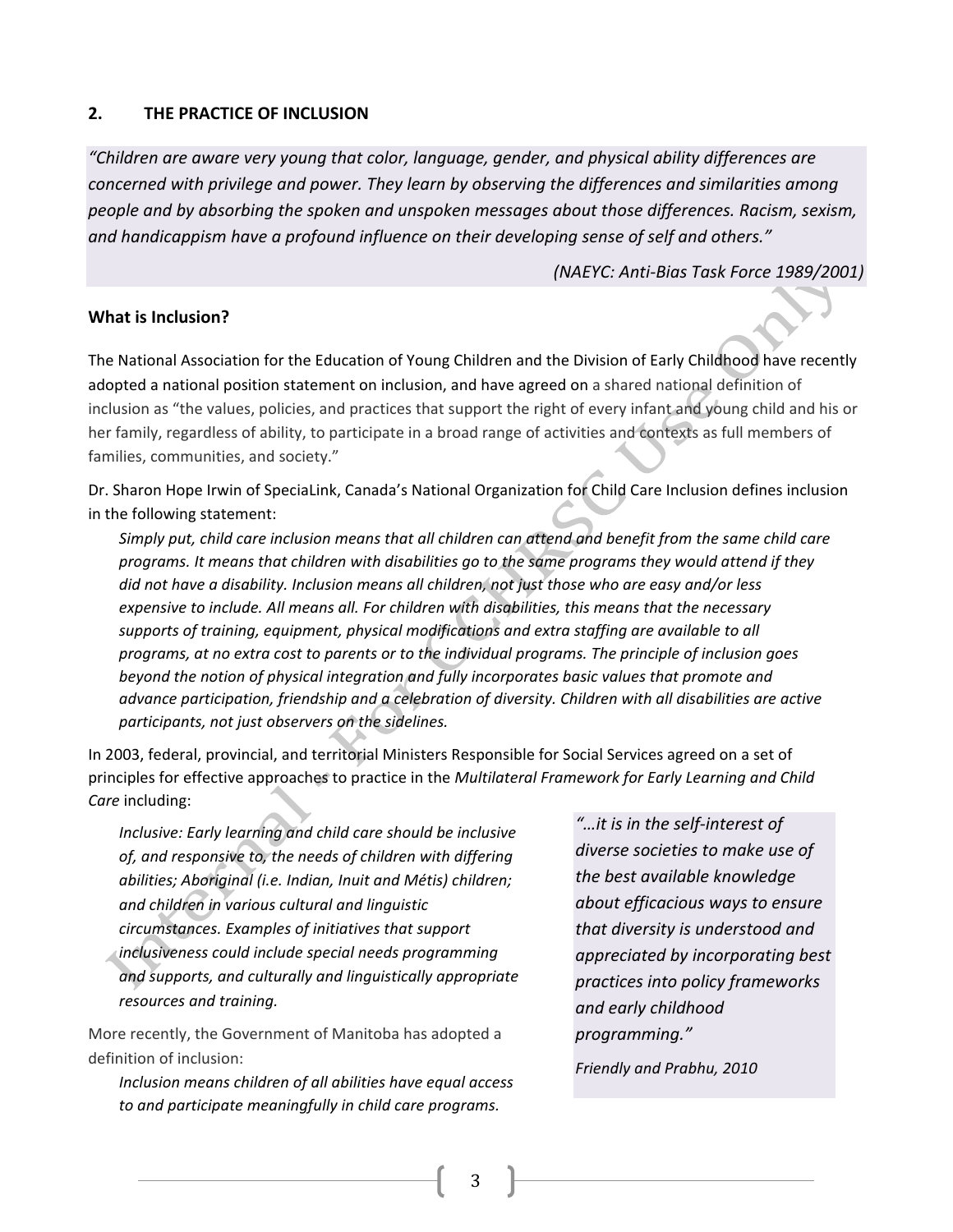#### $2.$ THE PRACTICE OF INCLUSION

"Children are aware very young that color, language, gender, and physical ability differences are concerned with privilege and power. They learn by observing the differences and similarities among people and by absorbing the spoken and unspoken messages about those differences. Racism, sexism, and handicappism have a profound influence on their developing sense of self and others."

(NAEYC: Anti-Bias Task Force 1989/2001)

### What is Inclusion?

The National Association for the Education of Young Children and the Division of Early Childhood have recently adopted a national position statement on inclusion, and have agreed on a shared national definition of inclusion as "the values, policies, and practices that support the right of every infant and young child and his or her family, regardless of ability, to participate in a broad range of activities and contexts as full members of families, communities, and society."

Dr. Sharon Hope Irwin of SpeciaLink, Canada's National Organization for Child Care Inclusion defines inclusion in the following statement:

Simply put, child care inclusion means that all children can attend and benefit from the same child care programs. It means that children with disabilities go to the same programs they would attend if they did not have a disability. Inclusion means all children, not just those who are easy and/or less expensive to include. All means all. For children with disabilities, this means that the necessary supports of training, equipment, physical modifications and extra staffing are available to all programs, at no extra cost to parents or to the individual programs. The principle of inclusion goes beyond the notion of physical integration and fully incorporates basic values that promote and advance participation, friendship and a celebration of diversity. Children with all disabilities are active participants, not just observers on the sidelines.

In 2003, federal, provincial, and territorial Ministers Responsible for Social Services agreed on a set of principles for effective approaches to practice in the Multilateral Framework for Early Learning and Child Care including:

Inclusive: Early learning and child care should be inclusive of, and responsive to, the needs of children with differing abilities; Aboriginal (i.e. Indian, Inuit and Métis) children; and children in various cultural and linguistic circumstances. Examples of initiatives that support inclusiveness could include special needs programming and supports, and culturally and linguistically appropriate resources and training.

More recently, the Government of Manitoba has adopted a definition of inclusion:

Inclusion means children of all abilities have equal access to and participate meaningfully in child care programs.

"...it is in the self-interest of diverse societies to make use of the best available knowledge about efficacious ways to ensure that diversity is understood and appreciated by incorporating best practices into policy frameworks and early childhood programming."

Friendly and Prabhu, 2010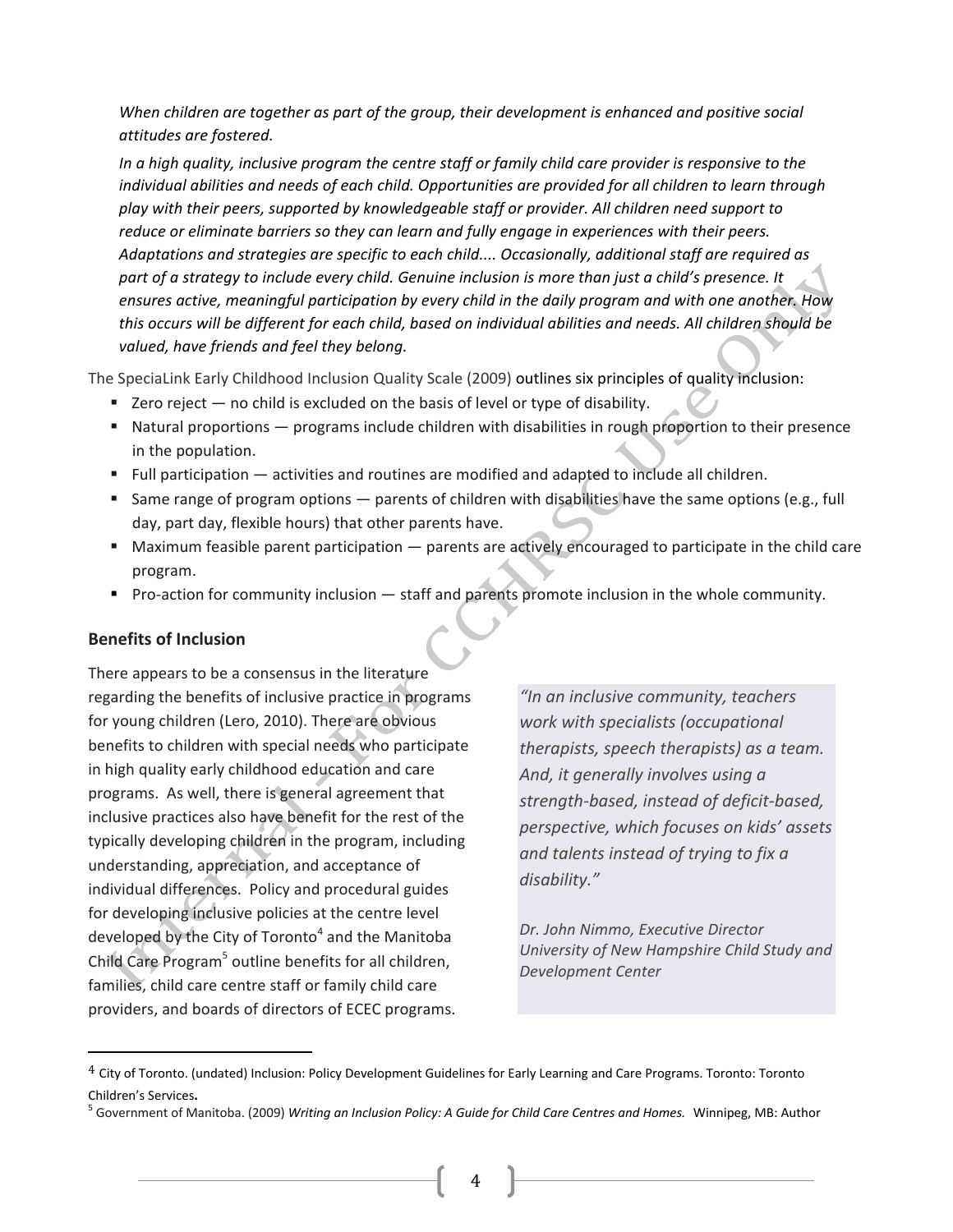When children are together as part of the group, their development is enhanced and positive social attitudes are fostered.

In a high quality, inclusive program the centre staff or family child care provider is responsive to the individual abilities and needs of each child. Opportunities are provided for all children to learn through play with their peers, supported by knowledgeable staff or provider. All children need support to reduce or eliminate barriers so they can learn and fully engage in experiences with their peers. Adaptations and strategies are specific to each child.... Occasionally, additional staff are required as part of a strategy to include every child. Genuine inclusion is more than just a child's presence. It ensures active, meaningful participation by every child in the daily program and with one another. How this occurs will be different for each child, based on individual abilities and needs. All children should be valued, have friends and feel they belong.

The SpeciaLink Early Childhood Inclusion Quality Scale (2009) outlines six principles of quality inclusion:

- Zero reject no child is excluded on the basis of level or type of disability.
- " Natural proportions programs include children with disabilities in rough proportion to their presence in the population.
- " Full participation activities and routines are modified and adapted to include all children.
- Same range of program options parents of children with disabilities have the same options (e.g., full day, part day, flexible hours) that other parents have.
- Maximum feasible parent participation parents are actively encouraged to participate in the child care program.
- Pro-action for community inclusion staff and parents promote inclusion in the whole community.

# **Benefits of Inclusion**

There appears to be a consensus in the literature regarding the benefits of inclusive practice in programs for young children (Lero, 2010). There are obvious benefits to children with special needs who participate in high quality early childhood education and care programs. As well, there is general agreement that inclusive practices also have benefit for the rest of the typically developing children in the program, including understanding, appreciation, and acceptance of individual differences. Policy and procedural guides for developing inclusive policies at the centre level developed by the City of Toronto<sup>4</sup> and the Manitoba Child Care Program<sup>5</sup> outline benefits for all children, families, child care centre staff or family child care providers, and boards of directors of ECEC programs.

"In an inclusive community, teachers work with specialists (occupational therapists, speech therapists) as a team. And, it generally involves using a strength-based, instead of deficit-based, perspective, which focuses on kids' assets and talents instead of trying to fix a disability."

Dr. John Nimmo, Executive Director University of New Hampshire Child Study and Development Center

 $^4$  City of Toronto. (undated) Inclusion: Policy Development Guidelines for Early Learning and Care Programs. Toronto: Toronto Children's Services.

<sup>&</sup>lt;sup>5</sup> Government of Manitoba. (2009) *Writing an Inclusion Policy: A Guide for Child Care Centres and Homes. Wi*nnipeg, MB: Author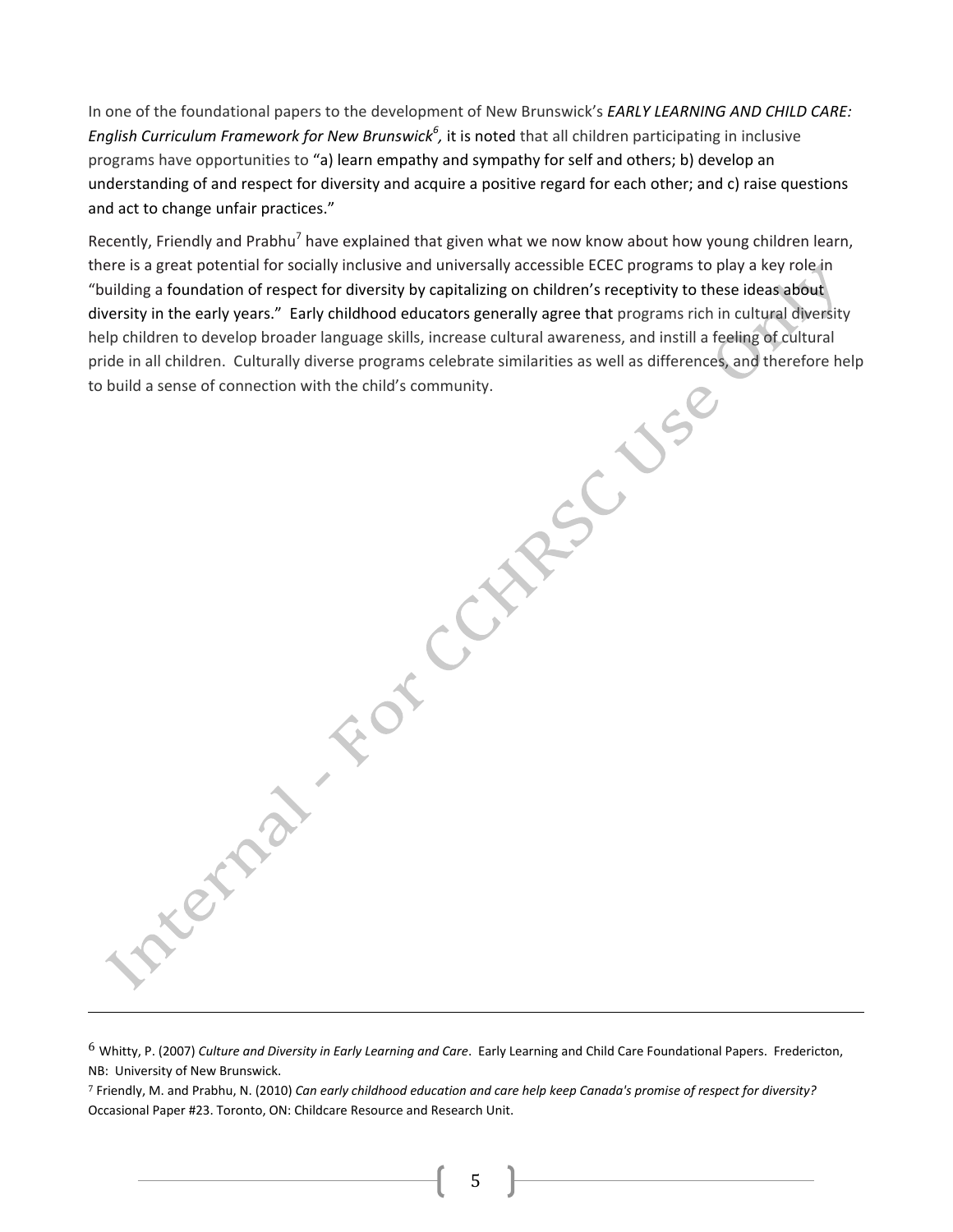In one of the foundational papers to the development of New Brunswick's EARLY LEARNING AND CHILD CARE: English Curriculum Framework for New Brunswick<sup>6</sup>, it is noted that all children participating in inclusive programs have opportunities to "a) learn empathy and sympathy for self and others; b) develop an understanding of and respect for diversity and acquire a positive regard for each other; and c) raise questions and act to change unfair practices."

Recently, Friendly and Prabhu<sup>7</sup> have explained that given what we now know about how young children learn, there is a great potential for socially inclusive and universally accessible ECEC programs to play a key role in "building a foundation of respect for diversity by capitalizing on children's receptivity to these ideas about diversity in the early years." Early childhood educators generally agree that programs rich in cultural diversity NETAST FOT CCMPSC help children to develop broader language skills, increase cultural awareness, and instill a feeling of cultural pride in all children. Culturally diverse programs celebrate similarities as well as differences, and therefore help to build a sense of connection with the child's community.

 $6$  Whitty, P. (2007) Culture and Diversity in Early Learning and Care. Early Learning and Child Care Foundational Papers. Fredericton, NB: University of New Brunswick.

7 Friendly, M. and Prabhu, N. (2010) Can early childhood education and care help keep Canada's promise of respect for diversity? Occasional Paper #23. Toronto, ON: Childcare Resource and Research Unit.

5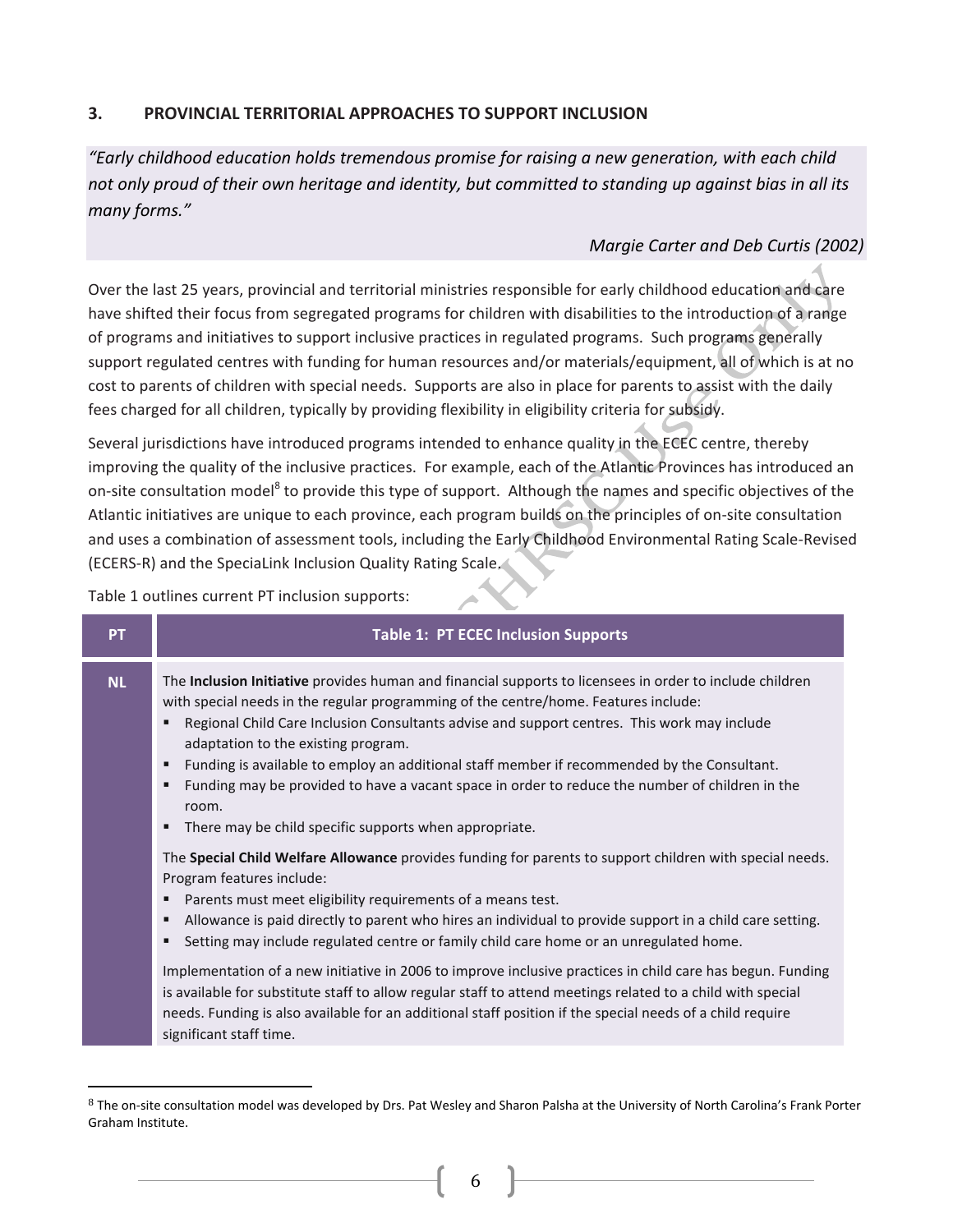#### $3.$ PROVINCIAL TERRITORIAL APPROACHES TO SUPPORT INCLUSION

"Early childhood education holds tremendous promise for raising a new generation, with each child not only proud of their own heritage and identity, but committed to standing up against bias in all its many forms."

# Margie Carter and Deb Curtis (2002)

Over the last 25 years, provincial and territorial ministries responsible for early childhood education and care have shifted their focus from segregated programs for children with disabilities to the introduction of a range of programs and initiatives to support inclusive practices in regulated programs. Such programs generally support regulated centres with funding for human resources and/or materials/equipment, all of which is at no cost to parents of children with special needs. Supports are also in place for parents to assist with the daily fees charged for all children, typically by providing flexibility in eligibility criteria for subsidy.

Several jurisdictions have introduced programs intended to enhance quality in the ECEC centre, thereby improving the quality of the inclusive practices. For example, each of the Atlantic Provinces has introduced an on-site consultation model<sup>8</sup> to provide this type of support. Although the names and specific objectives of the Atlantic initiatives are unique to each province, each program builds on the principles of on-site consultation and uses a combination of assessment tools, including the Early Childhood Environmental Rating Scale-Revised (ECERS-R) and the SpeciaLink Inclusion Quality Rating Scale.

Table 1 outlines current PT inclusion supports:

| <b>NL</b>             | The <b>Inclusion Initiative</b> provides human and financial supports to licensees in order to include children<br>with special needs in the regular programming of the centre/home. Features include:                                                                                                                                                                                                                                                                                                                                                                                                                                                                                                                                                                                                                                                                                                                                                                                                                                                                                                                                                                                     |
|-----------------------|--------------------------------------------------------------------------------------------------------------------------------------------------------------------------------------------------------------------------------------------------------------------------------------------------------------------------------------------------------------------------------------------------------------------------------------------------------------------------------------------------------------------------------------------------------------------------------------------------------------------------------------------------------------------------------------------------------------------------------------------------------------------------------------------------------------------------------------------------------------------------------------------------------------------------------------------------------------------------------------------------------------------------------------------------------------------------------------------------------------------------------------------------------------------------------------------|
| п<br>п<br>п<br>п<br>п | Regional Child Care Inclusion Consultants advise and support centres. This work may include<br>adaptation to the existing program.<br>Funding is available to employ an additional staff member if recommended by the Consultant.<br>Funding may be provided to have a vacant space in order to reduce the number of children in the<br>room.<br>There may be child specific supports when appropriate.<br>The Special Child Welfare Allowance provides funding for parents to support children with special needs.<br>Program features include:<br>Parents must meet eligibility requirements of a means test.<br>Allowance is paid directly to parent who hires an individual to provide support in a child care setting.<br>Setting may include regulated centre or family child care home or an unregulated home.<br>Implementation of a new initiative in 2006 to improve inclusive practices in child care has begun. Funding<br>is available for substitute staff to allow regular staff to attend meetings related to a child with special<br>needs. Funding is also available for an additional staff position if the special needs of a child require<br>significant staff time. |

<sup>&</sup>lt;sup>8</sup> The on-site consultation model was developed by Drs. Pat Wesley and Sharon Palsha at the University of North Carolina's Frank Porter Graham Institute.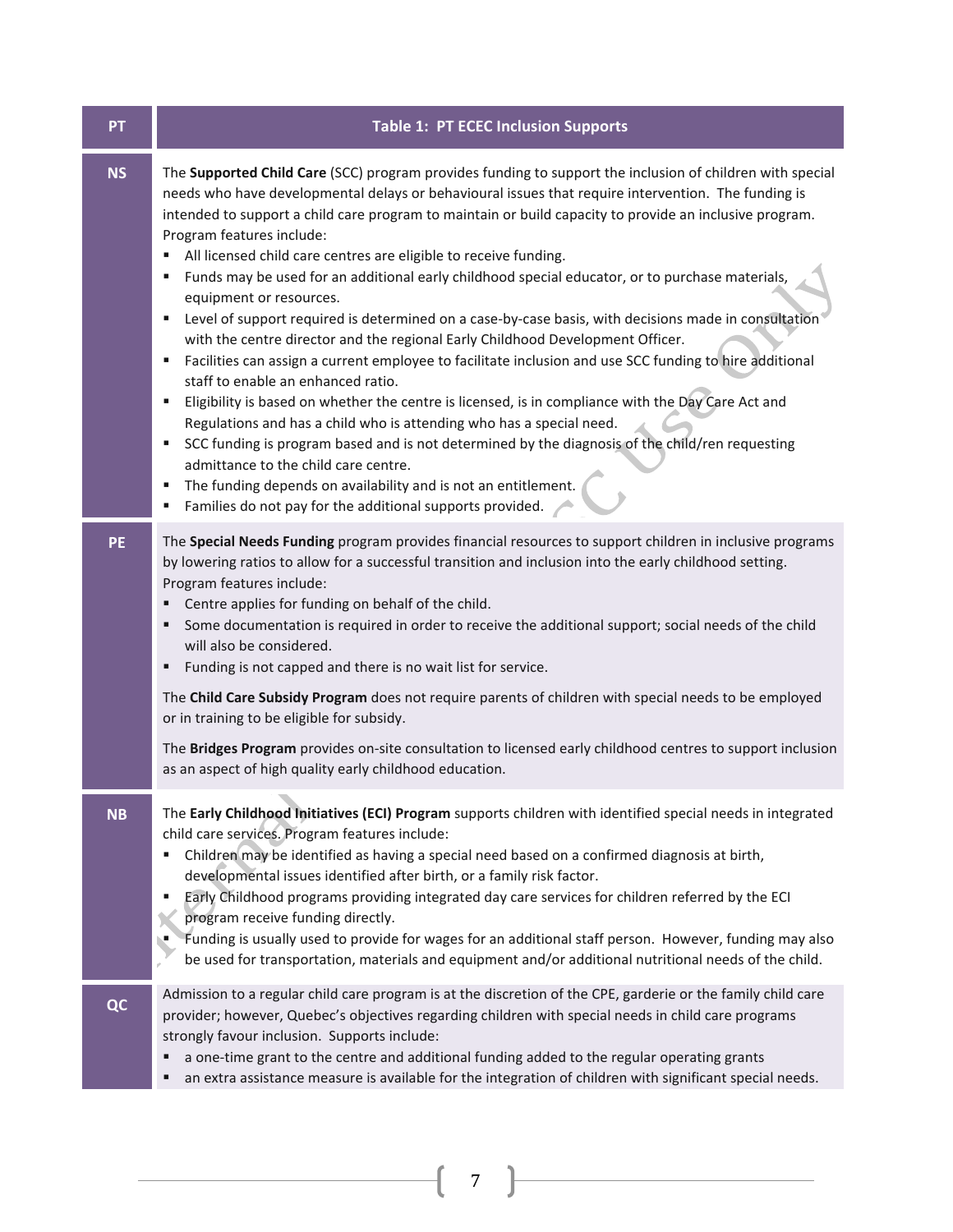| <b>PT</b> | <b>Table 1: PT ECEC Inclusion Supports</b>                                                                                                                                                                                                                                                                                                                                                                                                                                                                                                                                                                                                                                                                                                                                                                                                                                                                                                                                                                                                                                                                                                                                                                                                                                                                                                                                             |  |  |  |
|-----------|----------------------------------------------------------------------------------------------------------------------------------------------------------------------------------------------------------------------------------------------------------------------------------------------------------------------------------------------------------------------------------------------------------------------------------------------------------------------------------------------------------------------------------------------------------------------------------------------------------------------------------------------------------------------------------------------------------------------------------------------------------------------------------------------------------------------------------------------------------------------------------------------------------------------------------------------------------------------------------------------------------------------------------------------------------------------------------------------------------------------------------------------------------------------------------------------------------------------------------------------------------------------------------------------------------------------------------------------------------------------------------------|--|--|--|
| <b>NS</b> | The Supported Child Care (SCC) program provides funding to support the inclusion of children with special<br>needs who have developmental delays or behavioural issues that require intervention. The funding is<br>intended to support a child care program to maintain or build capacity to provide an inclusive program.<br>Program features include:<br>All licensed child care centres are eligible to receive funding.<br>٠<br>Funds may be used for an additional early childhood special educator, or to purchase materials,<br>equipment or resources.<br>Level of support required is determined on a case-by-case basis, with decisions made in consultation<br>٠<br>with the centre director and the regional Early Childhood Development Officer.<br>Facilities can assign a current employee to facilitate inclusion and use SCC funding to hire additional<br>٠<br>staff to enable an enhanced ratio.<br>Eligibility is based on whether the centre is licensed, is in compliance with the Day Care Act and<br>٠<br>Regulations and has a child who is attending who has a special need.<br>SCC funding is program based and is not determined by the diagnosis of the child/ren requesting<br>٠<br>admittance to the child care centre.<br>The funding depends on availability and is not an entitlement.<br>Families do not pay for the additional supports provided. |  |  |  |
| <b>PE</b> | The Special Needs Funding program provides financial resources to support children in inclusive programs<br>by lowering ratios to allow for a successful transition and inclusion into the early childhood setting.<br>Program features include:<br>Centre applies for funding on behalf of the child.<br>Some documentation is required in order to receive the additional support; social needs of the child<br>п<br>will also be considered.<br>Funding is not capped and there is no wait list for service.<br>п<br>The Child Care Subsidy Program does not require parents of children with special needs to be employed<br>or in training to be eligible for subsidy.<br>The Bridges Program provides on-site consultation to licensed early childhood centres to support inclusion<br>as an aspect of high quality early childhood education.                                                                                                                                                                                                                                                                                                                                                                                                                                                                                                                                   |  |  |  |
| <b>NB</b> | The Early Childhood Initiatives (ECI) Program supports children with identified special needs in integrated<br>child care services. Program features include:<br>Children may be identified as having a special need based on a confirmed diagnosis at birth,<br>developmental issues identified after birth, or a family risk factor.<br>Early Childhood programs providing integrated day care services for children referred by the ECI<br>٠<br>program receive funding directly.<br>Funding is usually used to provide for wages for an additional staff person. However, funding may also<br>be used for transportation, materials and equipment and/or additional nutritional needs of the child.                                                                                                                                                                                                                                                                                                                                                                                                                                                                                                                                                                                                                                                                                |  |  |  |
| QC        | Admission to a regular child care program is at the discretion of the CPE, garderie or the family child care<br>provider; however, Quebec's objectives regarding children with special needs in child care programs<br>strongly favour inclusion. Supports include:<br>a one-time grant to the centre and additional funding added to the regular operating grants<br>an extra assistance measure is available for the integration of children with significant special needs.                                                                                                                                                                                                                                                                                                                                                                                                                                                                                                                                                                                                                                                                                                                                                                                                                                                                                                         |  |  |  |

 $\begin{pmatrix} 7 \end{pmatrix}$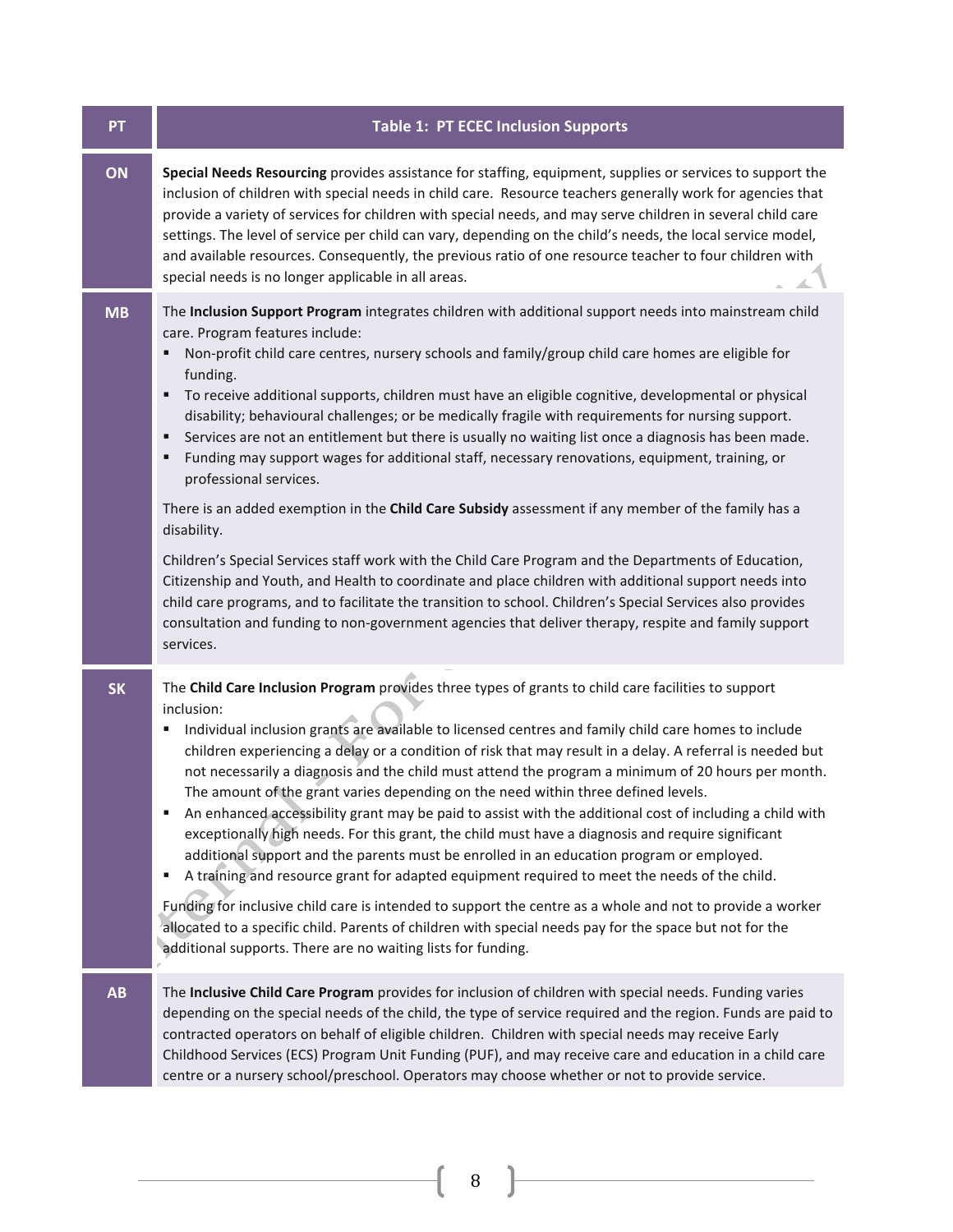| PT        | <b>Table 1: PT ECEC Inclusion Supports</b>                                                                                                                                                                                                                                                                                                                                                                                                                                                                                                                                                                                                                                                                                                                                                                                                                                                                                                                                                                                                                                                                                                                                                                                                                                               |  |  |  |  |
|-----------|------------------------------------------------------------------------------------------------------------------------------------------------------------------------------------------------------------------------------------------------------------------------------------------------------------------------------------------------------------------------------------------------------------------------------------------------------------------------------------------------------------------------------------------------------------------------------------------------------------------------------------------------------------------------------------------------------------------------------------------------------------------------------------------------------------------------------------------------------------------------------------------------------------------------------------------------------------------------------------------------------------------------------------------------------------------------------------------------------------------------------------------------------------------------------------------------------------------------------------------------------------------------------------------|--|--|--|--|
| ON        | Special Needs Resourcing provides assistance for staffing, equipment, supplies or services to support the<br>inclusion of children with special needs in child care. Resource teachers generally work for agencies that<br>provide a variety of services for children with special needs, and may serve children in several child care<br>settings. The level of service per child can vary, depending on the child's needs, the local service model,<br>and available resources. Consequently, the previous ratio of one resource teacher to four children with<br>special needs is no longer applicable in all areas.                                                                                                                                                                                                                                                                                                                                                                                                                                                                                                                                                                                                                                                                  |  |  |  |  |
| <b>MB</b> | The Inclusion Support Program integrates children with additional support needs into mainstream child<br>care. Program features include:<br>Non-profit child care centres, nursery schools and family/group child care homes are eligible for<br>funding.<br>To receive additional supports, children must have an eligible cognitive, developmental or physical<br>disability; behavioural challenges; or be medically fragile with requirements for nursing support.<br>Services are not an entitlement but there is usually no waiting list once a diagnosis has been made.<br>Funding may support wages for additional staff, necessary renovations, equipment, training, or<br>٠<br>professional services.<br>There is an added exemption in the Child Care Subsidy assessment if any member of the family has a<br>disability.<br>Children's Special Services staff work with the Child Care Program and the Departments of Education,<br>Citizenship and Youth, and Health to coordinate and place children with additional support needs into<br>child care programs, and to facilitate the transition to school. Children's Special Services also provides<br>consultation and funding to non-government agencies that deliver therapy, respite and family support<br>services. |  |  |  |  |
| <b>SK</b> | The Child Care Inclusion Program provides three types of grants to child care facilities to support<br>inclusion:<br>Individual inclusion grants are available to licensed centres and family child care homes to include<br>٠<br>children experiencing a delay or a condition of risk that may result in a delay. A referral is needed but<br>not necessarily a diagnosis and the child must attend the program a minimum of 20 hours per month.<br>The amount of the grant varies depending on the need within three defined levels.<br>An enhanced accessibility grant may be paid to assist with the additional cost of including a child with<br>٠<br>exceptionally high needs. For this grant, the child must have a diagnosis and require significant<br>additional support and the parents must be enrolled in an education program or employed.<br>A training and resource grant for adapted equipment required to meet the needs of the child.<br>Funding for inclusive child care is intended to support the centre as a whole and not to provide a worker<br>allocated to a specific child. Parents of children with special needs pay for the space but not for the<br>additional supports. There are no waiting lists for funding.                                         |  |  |  |  |
| AB        | The Inclusive Child Care Program provides for inclusion of children with special needs. Funding varies<br>depending on the special needs of the child, the type of service required and the region. Funds are paid to<br>contracted operators on behalf of eligible children. Children with special needs may receive Early<br>Childhood Services (ECS) Program Unit Funding (PUF), and may receive care and education in a child care<br>centre or a nursery school/preschool. Operators may choose whether or not to provide service.                                                                                                                                                                                                                                                                                                                                                                                                                                                                                                                                                                                                                                                                                                                                                  |  |  |  |  |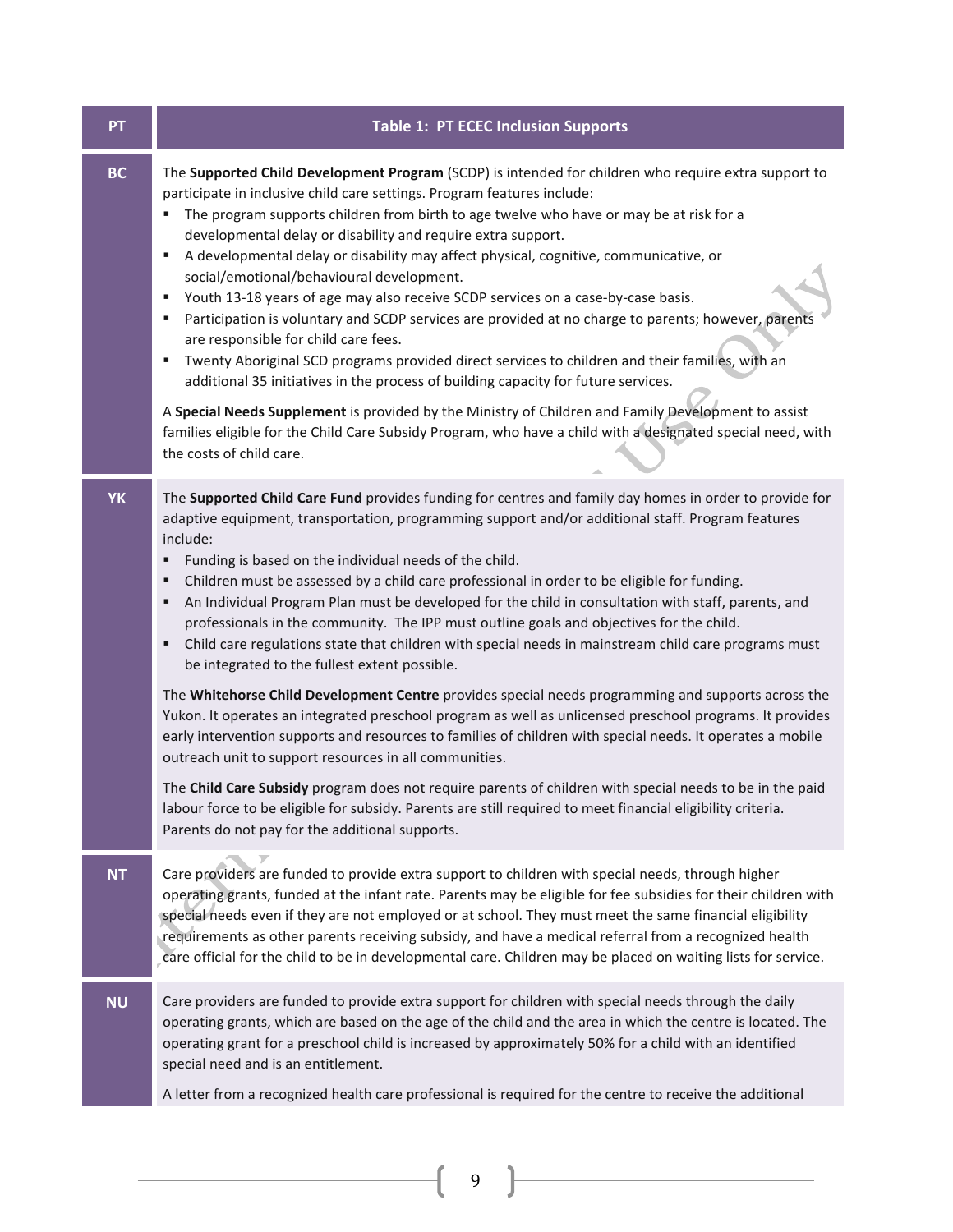| PT        | <b>Table 1: PT ECEC Inclusion Supports</b>                                                                                                                                                                                                                                                                                                                                                                                                                                                                                                                                                                                                                                                                                                                                                                                                                                                                                                                                                                                                                                                                                                                                                                                                                                                                                                                                                                                      |
|-----------|---------------------------------------------------------------------------------------------------------------------------------------------------------------------------------------------------------------------------------------------------------------------------------------------------------------------------------------------------------------------------------------------------------------------------------------------------------------------------------------------------------------------------------------------------------------------------------------------------------------------------------------------------------------------------------------------------------------------------------------------------------------------------------------------------------------------------------------------------------------------------------------------------------------------------------------------------------------------------------------------------------------------------------------------------------------------------------------------------------------------------------------------------------------------------------------------------------------------------------------------------------------------------------------------------------------------------------------------------------------------------------------------------------------------------------|
| <b>BC</b> | The Supported Child Development Program (SCDP) is intended for children who require extra support to<br>participate in inclusive child care settings. Program features include:<br>The program supports children from birth to age twelve who have or may be at risk for a<br>developmental delay or disability and require extra support.<br>A developmental delay or disability may affect physical, cognitive, communicative, or<br>٠<br>social/emotional/behavioural development.<br>Youth 13-18 years of age may also receive SCDP services on a case-by-case basis.<br>Е<br>Participation is voluntary and SCDP services are provided at no charge to parents; however, parents<br>are responsible for child care fees.<br>Twenty Aboriginal SCD programs provided direct services to children and their families, with an<br>additional 35 initiatives in the process of building capacity for future services.<br>A Special Needs Supplement is provided by the Ministry of Children and Family Development to assist<br>families eligible for the Child Care Subsidy Program, who have a child with a designated special need, with<br>the costs of child care.                                                                                                                                                                                                                                                        |
| <b>YK</b> | The Supported Child Care Fund provides funding for centres and family day homes in order to provide for<br>adaptive equipment, transportation, programming support and/or additional staff. Program features<br>include:<br>Funding is based on the individual needs of the child.<br>Children must be assessed by a child care professional in order to be eligible for funding.<br>An Individual Program Plan must be developed for the child in consultation with staff, parents, and<br>п<br>professionals in the community. The IPP must outline goals and objectives for the child.<br>Child care regulations state that children with special needs in mainstream child care programs must<br>٠<br>be integrated to the fullest extent possible.<br>The Whitehorse Child Development Centre provides special needs programming and supports across the<br>Yukon. It operates an integrated preschool program as well as unlicensed preschool programs. It provides<br>early intervention supports and resources to families of children with special needs. It operates a mobile<br>outreach unit to support resources in all communities.<br>The Child Care Subsidy program does not require parents of children with special needs to be in the paid<br>labour force to be eligible for subsidy. Parents are still required to meet financial eligibility criteria.<br>Parents do not pay for the additional supports. |
| <b>NT</b> | Care providers are funded to provide extra support to children with special needs, through higher<br>operating grants, funded at the infant rate. Parents may be eligible for fee subsidies for their children with<br>special needs even if they are not employed or at school. They must meet the same financial eligibility<br>requirements as other parents receiving subsidy, and have a medical referral from a recognized health<br>care official for the child to be in developmental care. Children may be placed on waiting lists for service.                                                                                                                                                                                                                                                                                                                                                                                                                                                                                                                                                                                                                                                                                                                                                                                                                                                                        |
| <b>NU</b> | Care providers are funded to provide extra support for children with special needs through the daily<br>operating grants, which are based on the age of the child and the area in which the centre is located. The<br>operating grant for a preschool child is increased by approximately 50% for a child with an identified<br>special need and is an entitlement.<br>A letter from a recognized health care professional is required for the centre to receive the additional                                                                                                                                                                                                                                                                                                                                                                                                                                                                                                                                                                                                                                                                                                                                                                                                                                                                                                                                                 |
|           |                                                                                                                                                                                                                                                                                                                                                                                                                                                                                                                                                                                                                                                                                                                                                                                                                                                                                                                                                                                                                                                                                                                                                                                                                                                                                                                                                                                                                                 |

 $\begin{pmatrix} 9 \end{pmatrix}$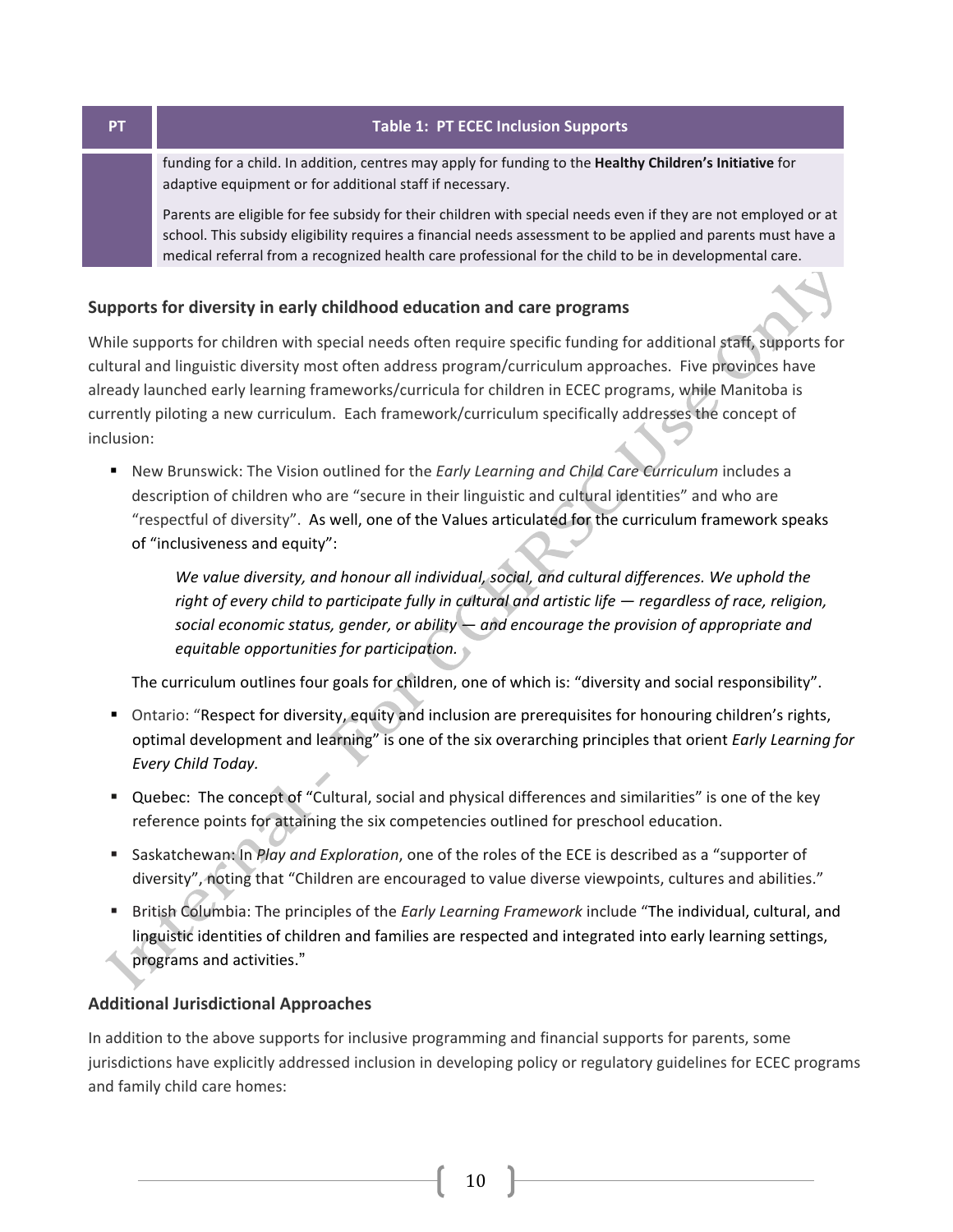**PT** 

#### **Table 1: PT ECEC Inclusion Supports**

funding for a child. In addition, centres may apply for funding to the Healthy Children's Initiative for adaptive equipment or for additional staff if necessary.

Parents are eligible for fee subsidy for their children with special needs even if they are not employed or at school. This subsidy eligibility requires a financial needs assessment to be applied and parents must have a medical referral from a recognized health care professional for the child to be in developmental care.

### Supports for diversity in early childhood education and care programs

While supports for children with special needs often require specific funding for additional staff, supports for cultural and linguistic diversity most often address program/curriculum approaches. Five provinces have already launched early learning frameworks/curricula for children in ECEC programs, while Manitoba is currently piloting a new curriculum. Each framework/curriculum specifically addresses the concept of inclusion:

Rew Brunswick: The Vision outlined for the Early Learning and Child Care Curriculum includes a description of children who are "secure in their linguistic and cultural identities" and who are "respectful of diversity". As well, one of the Values articulated for the curriculum framework speaks of "inclusiveness and equity":

We value diversity, and honour all individual, social, and cultural differences. We uphold the right of every child to participate fully in cultural and artistic life - regardless of race, religion, social economic status, gender, or ability  $-$  and encourage the provision of appropriate and equitable opportunities for participation.

The curriculum outlines four goals for children, one of which is: "diversity and social responsibility".

- Ontario: "Respect for diversity, equity and inclusion are prerequisites for honouring children's rights, optimal development and learning" is one of the six overarching principles that orient Early Learning for Every Child Today.
- " Quebec: The concept of "Cultural, social and physical differences and similarities" is one of the key reference points for attaining the six competencies outlined for preschool education.
- Saskatchewan: In Play and Exploration, one of the roles of the ECE is described as a "supporter of diversity", noting that "Children are encouraged to value diverse viewpoints, cultures and abilities."
- British Columbia: The principles of the *Early Learning Framework* include "The individual, cultural, and linguistic identities of children and families are respected and integrated into early learning settings, programs and activities."

## **Additional Jurisdictional Approaches**

In addition to the above supports for inclusive programming and financial supports for parents, some jurisdictions have explicitly addressed inclusion in developing policy or regulatory guidelines for ECEC programs and family child care homes: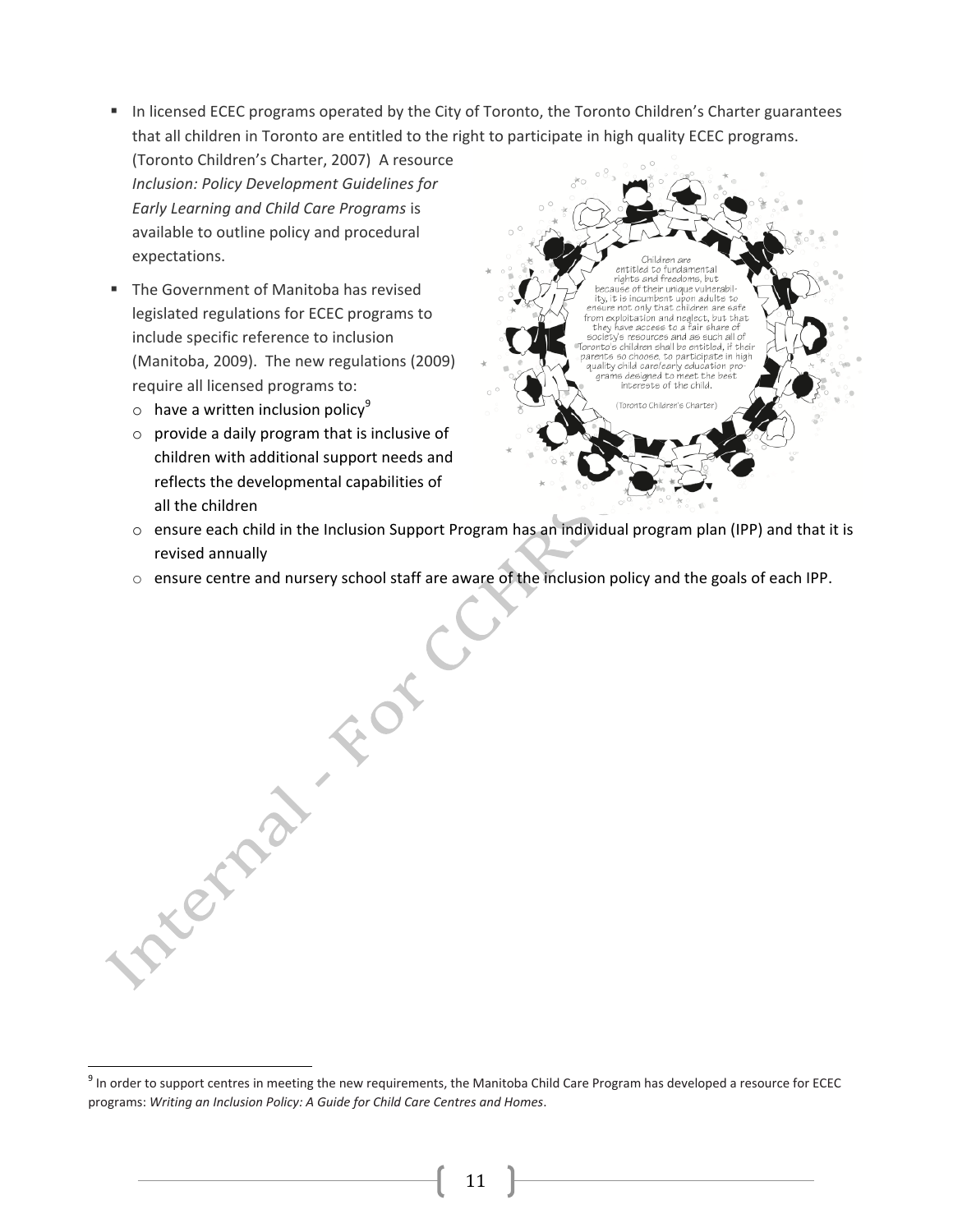- In licensed ECEC programs operated by the City of Toronto, the Toronto Children's Charter guarantees that all children in Toronto are entitled to the right to participate in high quality ECEC programs.
- (Toronto Children's Charter, 2007) A resource Inclusion: Policy Development Guidelines for Early Learning and Child Care Programs is available to outline policy and procedural expectations.
- " The Government of Manitoba has revised legislated regulations for ECEC programs to include specific reference to inclusion (Manitoba, 2009). The new regulations (2009) require all licensed programs to:
	- $\circ$  have a written inclusion policy<sup>9</sup>
	- $\circ$  provide a daily program that is inclusive of children with additional support needs and reflects the developmental capabilities of all the children



- o ensure each child in the Inclusion Support Program has an individual program plan (IPP) and that it is revised annually
- Arena For o ensure centre and nursery school staff are aware of the inclusion policy and the goals of each IPP.

<sup>&</sup>lt;sup>9</sup> In order to support centres in meeting the new requirements, the Manitoba Child Care Program has developed a resource for ECEC programs: Writing an Inclusion Policy: A Guide for Child Care Centres and Homes.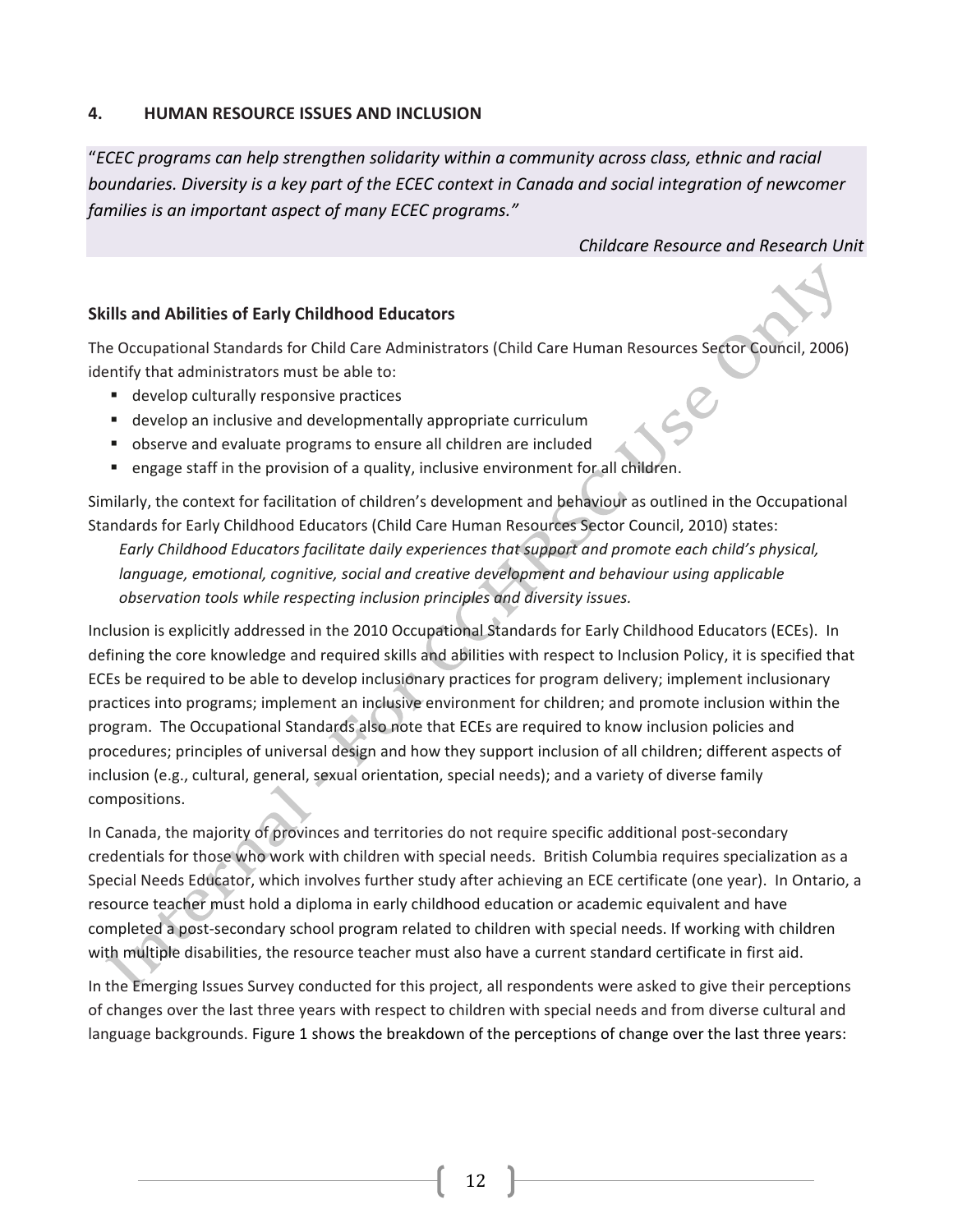#### 4. **HUMAN RESOURCE ISSUES AND INCLUSION**

"ECEC programs can help strengthen solidarity within a community across class, ethnic and racial boundaries. Diversity is a key part of the ECEC context in Canada and social integration of newcomer families is an important aspect of many ECEC programs."

### Childcare Resource and Research Unit

# **Skills and Abilities of Early Childhood Educators**

The Occupational Standards for Child Care Administrators (Child Care Human Resources Sector Council, 2006) identify that administrators must be able to:

- develop culturally responsive practices
- develop an inclusive and developmentally appropriate curriculum
- observe and evaluate programs to ensure all children are included
- engage staff in the provision of a quality, inclusive environment for all children.

Similarly, the context for facilitation of children's development and behaviour as outlined in the Occupational Standards for Early Childhood Educators (Child Care Human Resources Sector Council, 2010) states:

Early Childhood Educators facilitate daily experiences that support and promote each child's physical, language, emotional, cognitive, social and creative development and behaviour using applicable observation tools while respecting inclusion principles and diversity issues.

Inclusion is explicitly addressed in the 2010 Occupational Standards for Early Childhood Educators (ECEs). In defining the core knowledge and required skills and abilities with respect to Inclusion Policy, it is specified that ECEs be required to be able to develop inclusionary practices for program delivery; implement inclusionary practices into programs; implement an inclusive environment for children; and promote inclusion within the program. The Occupational Standards also note that ECEs are required to know inclusion policies and procedures; principles of universal design and how they support inclusion of all children; different aspects of inclusion (e.g., cultural, general, sexual orientation, special needs); and a variety of diverse family compositions.

In Canada, the majority of provinces and territories do not require specific additional post-secondary credentials for those who work with children with special needs. British Columbia requires specialization as a Special Needs Educator, which involves further study after achieving an ECE certificate (one year). In Ontario, a resource teacher must hold a diploma in early childhood education or academic equivalent and have completed a post-secondary school program related to children with special needs. If working with children with multiple disabilities, the resource teacher must also have a current standard certificate in first aid.

In the Emerging Issues Survey conducted for this project, all respondents were asked to give their perceptions of changes over the last three years with respect to children with special needs and from diverse cultural and language backgrounds. Figure 1 shows the breakdown of the perceptions of change over the last three years: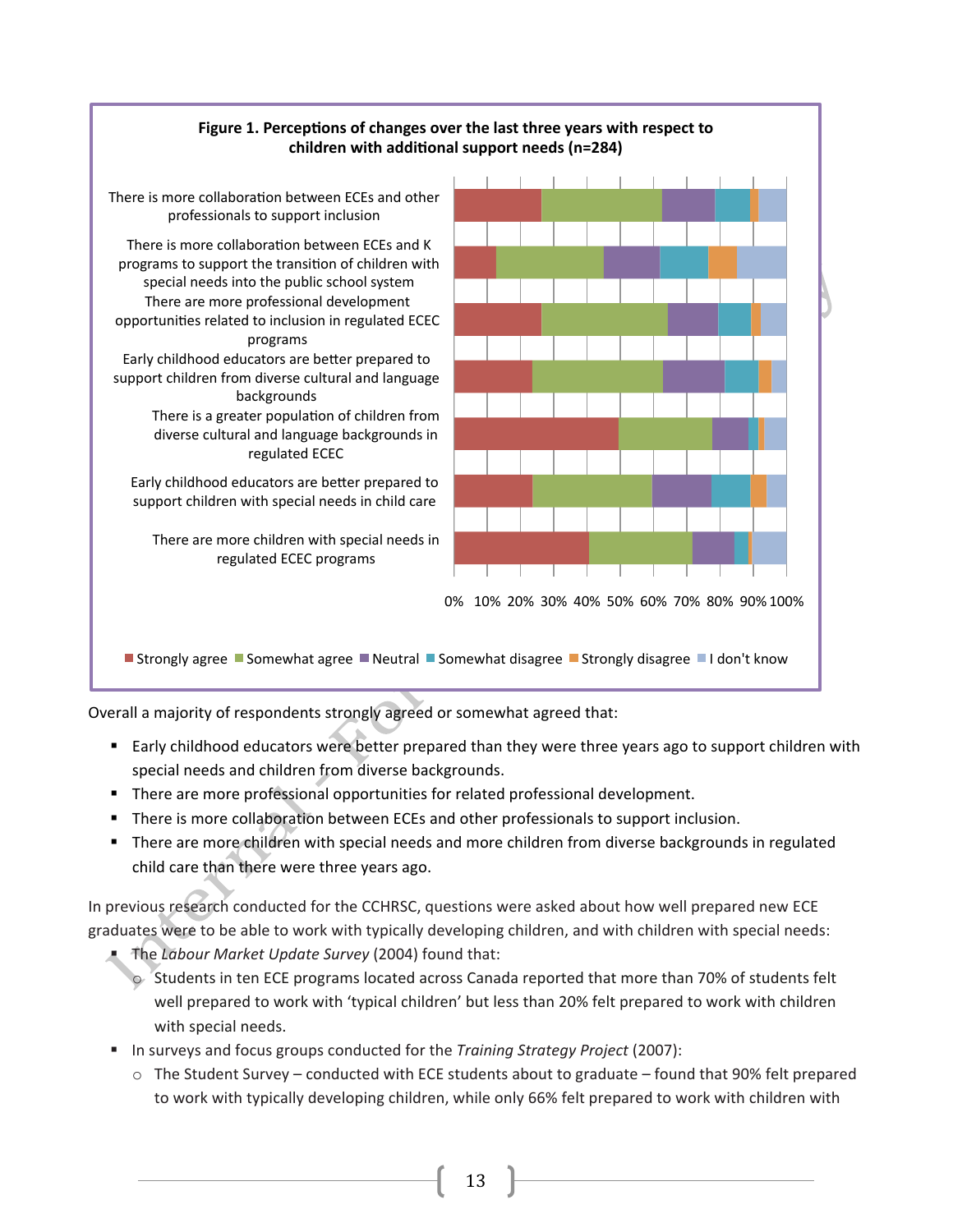

Overall a majority of respondents strongly agreed or somewhat agreed that:

- Early childhood educators were better prepared than they were three years ago to support children with special needs and children from diverse backgrounds.
- " There are more professional opportunities for related professional development.
- " There is more collaboration between ECEs and other professionals to support inclusion.
- There are more children with special needs and more children from diverse backgrounds in regulated child care than there were three years ago.

In previous research conducted for the CCHRSC, questions were asked about how well prepared new ECE graduates were to be able to work with typically developing children, and with children with special needs:

- The Labour Market Update Survey (2004) found that:
	- Students in ten ECE programs located across Canada reported that more than 70% of students felt well prepared to work with 'typical children' but less than 20% felt prepared to work with children with special needs.
- In surveys and focus groups conducted for the Training Strategy Project (2007):
	- $\circ$  The Student Survey conducted with ECE students about to graduate found that 90% felt prepared to work with typically developing children, while only 66% felt prepared to work with children with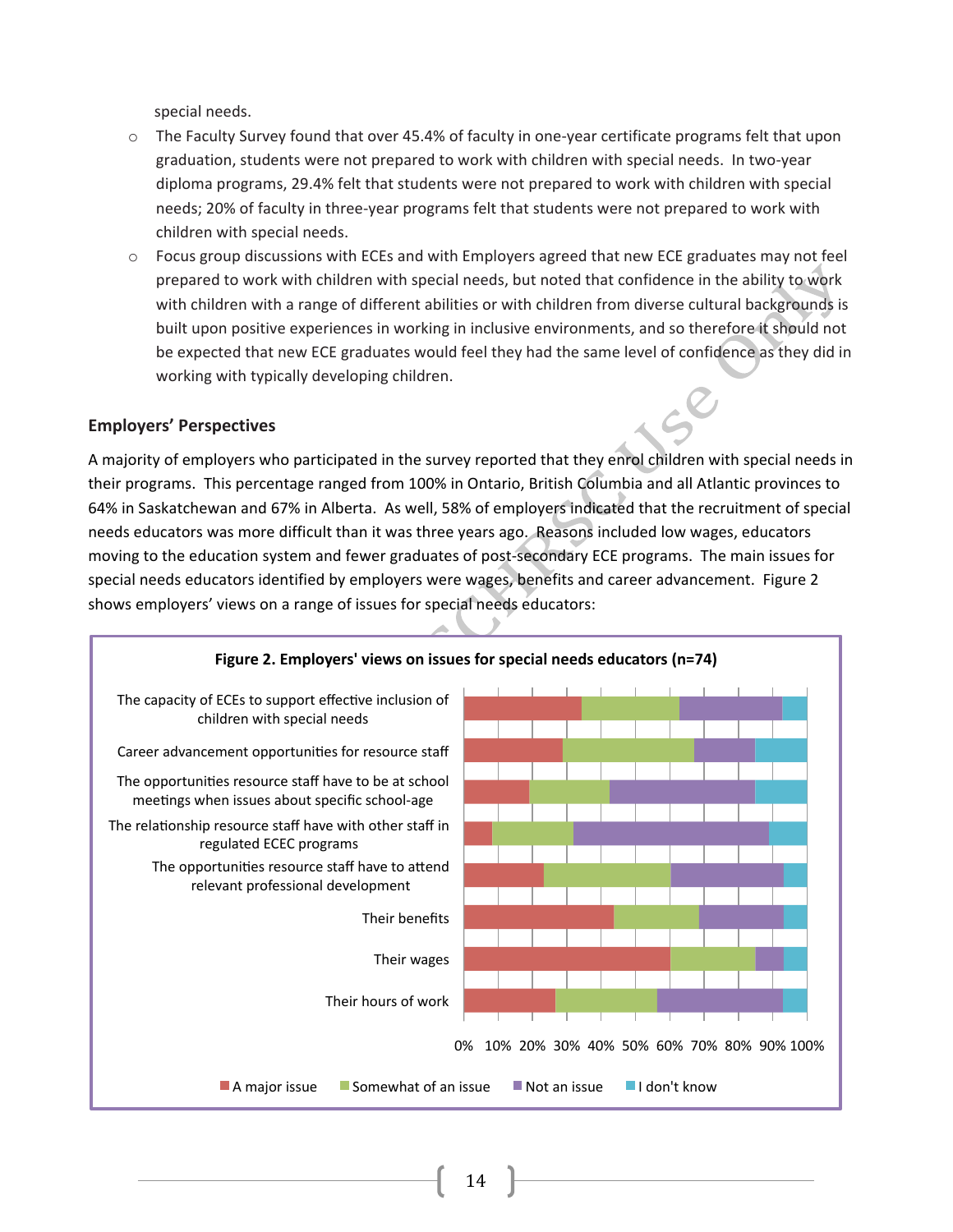special needs.

- o The Faculty Survey found that over 45.4% of faculty in one-year certificate programs felt that upon graduation, students were not prepared to work with children with special needs. In two-year diploma programs, 29.4% felt that students were not prepared to work with children with special needs; 20% of faculty in three-year programs felt that students were not prepared to work with children with special needs.
- o Focus group discussions with ECEs and with Employers agreed that new ECE graduates may not feel prepared to work with children with special needs, but noted that confidence in the ability to work with children with a range of different abilities or with children from diverse cultural backgrounds is built upon positive experiences in working in inclusive environments, and so therefore it should not be expected that new ECE graduates would feel they had the same level of confidence as they did in working with typically developing children.

### **Employers' Perspectives**

A majority of employers who participated in the survey reported that they enrol children with special needs in their programs. This percentage ranged from 100% in Ontario, British Columbia and all Atlantic provinces to 64% in Saskatchewan and 67% in Alberta. As well, 58% of employers indicated that the recruitment of special needs educators was more difficult than it was three years ago. Reasons included low wages, educators moving to the education system and fewer graduates of post-secondary ECE programs. The main issues for special needs educators identified by employers were wages, benefits and career advancement. Figure 2 shows employers' views on a range of issues for special needs educators:

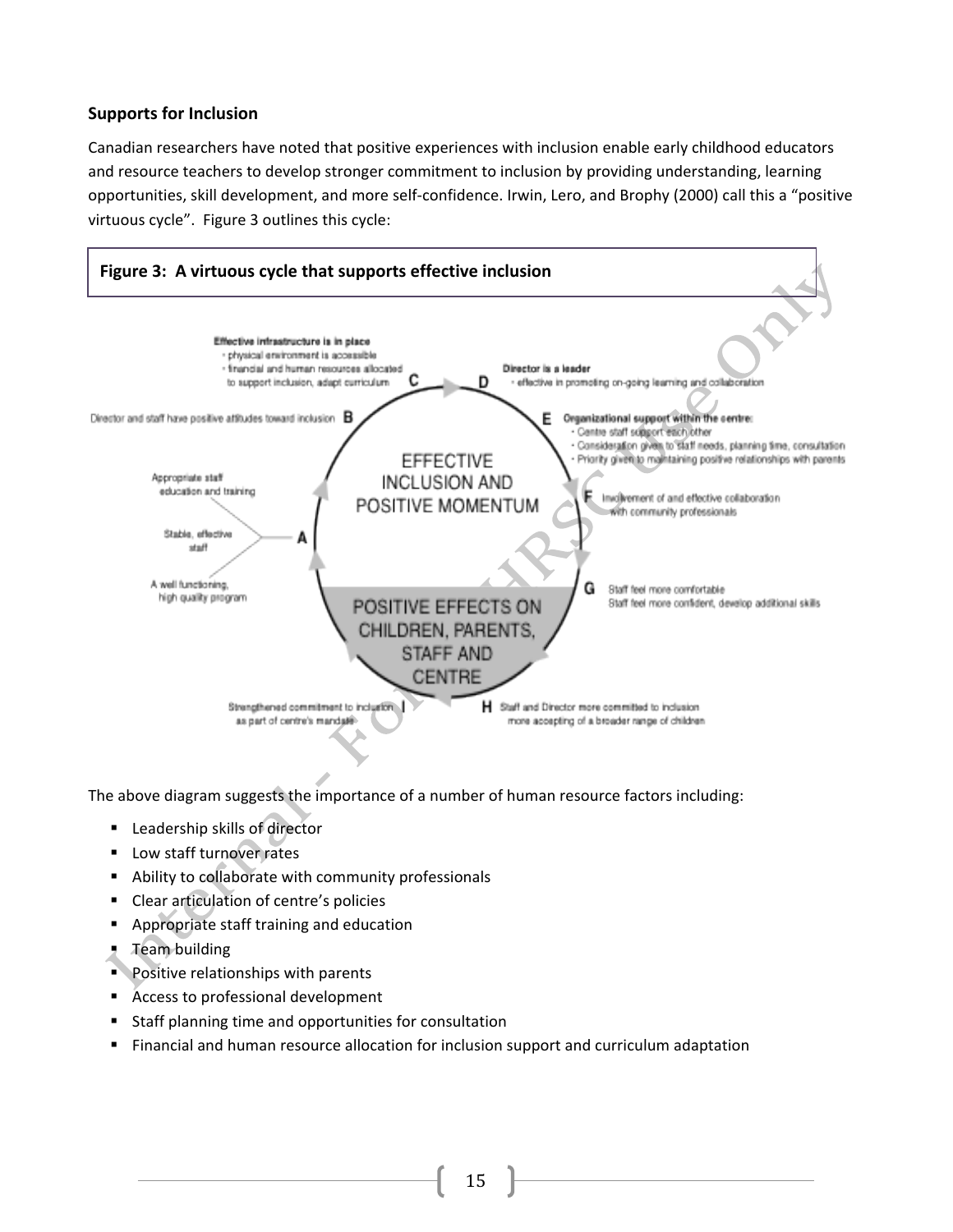# **Supports for Inclusion**

Canadian researchers have noted that positive experiences with inclusion enable early childhood educators and resource teachers to develop stronger commitment to inclusion by providing understanding, learning opportunities, skill development, and more self-confidence. Irwin, Lero, and Brophy (2000) call this a "positive virtuous cycle". Figure 3 outlines this cycle:



The above diagram suggests the importance of a number of human resource factors including:

- Leadership skills of director
- Low staff turnover rates
- Ability to collaborate with community professionals
- Clear articulation of centre's policies
- Appropriate staff training and education
- $\overline{z}$  Team building
- Positive relationships with parents
- Access to professional development
- Staff planning time and opportunities for consultation
- Financial and human resource allocation for inclusion support and curriculum adaptation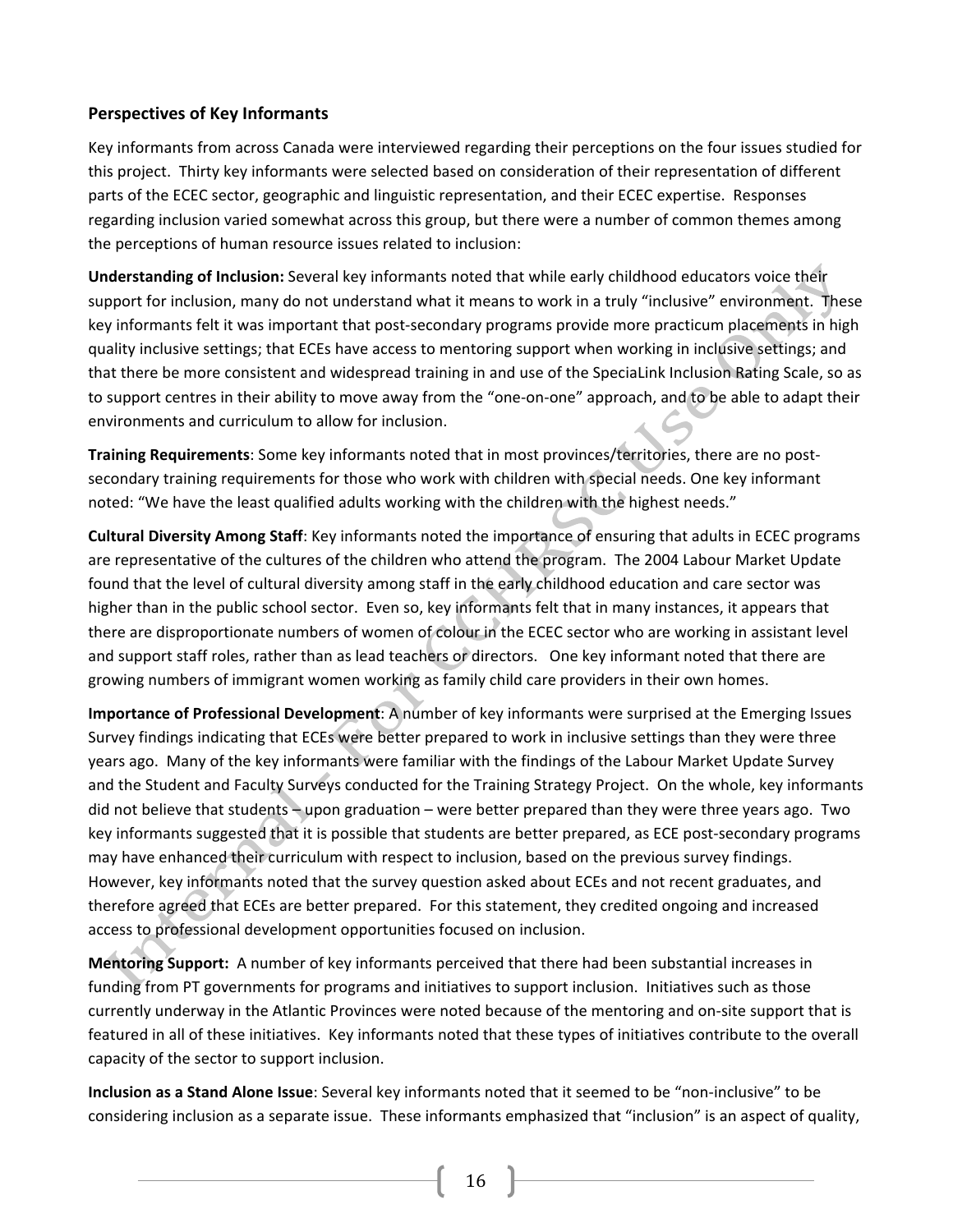# **Perspectives of Key Informants**

Key informants from across Canada were interviewed regarding their perceptions on the four issues studied for this project. Thirty key informants were selected based on consideration of their representation of different parts of the ECEC sector, geographic and linguistic representation, and their ECEC expertise. Responses regarding inclusion varied somewhat across this group, but there were a number of common themes among the perceptions of human resource issues related to inclusion:

Understanding of Inclusion: Several key informants noted that while early childhood educators voice their support for inclusion, many do not understand what it means to work in a truly "inclusive" environment. These key informants felt it was important that post-secondary programs provide more practicum placements in high quality inclusive settings; that ECEs have access to mentoring support when working in inclusive settings; and that there be more consistent and widespread training in and use of the SpeciaLink Inclusion Rating Scale, so as to support centres in their ability to move away from the "one-on-one" approach, and to be able to adapt their environments and curriculum to allow for inclusion.

Training Requirements: Some key informants noted that in most provinces/territories, there are no postsecondary training requirements for those who work with children with special needs. One key informant noted: "We have the least qualified adults working with the children with the highest needs."

Cultural Diversity Among Staff: Key informants noted the importance of ensuring that adults in ECEC programs are representative of the cultures of the children who attend the program. The 2004 Labour Market Update found that the level of cultural diversity among staff in the early childhood education and care sector was higher than in the public school sector. Even so, key informants felt that in many instances, it appears that there are disproportionate numbers of women of colour in the ECEC sector who are working in assistant level and support staff roles, rather than as lead teachers or directors. One key informant noted that there are growing numbers of immigrant women working as family child care providers in their own homes.

Importance of Professional Development: A number of key informants were surprised at the Emerging Issues Survey findings indicating that ECEs were better prepared to work in inclusive settings than they were three years ago. Many of the key informants were familiar with the findings of the Labour Market Update Survey and the Student and Faculty Surveys conducted for the Training Strategy Project. On the whole, key informants did not believe that students - upon graduation - were better prepared than they were three years ago. Two key informants suggested that it is possible that students are better prepared, as ECE post-secondary programs may have enhanced their curriculum with respect to inclusion, based on the previous survey findings. However, key informants noted that the survey question asked about ECEs and not recent graduates, and therefore agreed that ECEs are better prepared. For this statement, they credited ongoing and increased access to professional development opportunities focused on inclusion.

Mentoring Support: A number of key informants perceived that there had been substantial increases in funding from PT governments for programs and initiatives to support inclusion. Initiatives such as those currently underway in the Atlantic Provinces were noted because of the mentoring and on-site support that is featured in all of these initiatives. Key informants noted that these types of initiatives contribute to the overall capacity of the sector to support inclusion.

Inclusion as a Stand Alone Issue: Several key informants noted that it seemed to be "non-inclusive" to be considering inclusion as a separate issue. These informants emphasized that "inclusion" is an aspect of quality,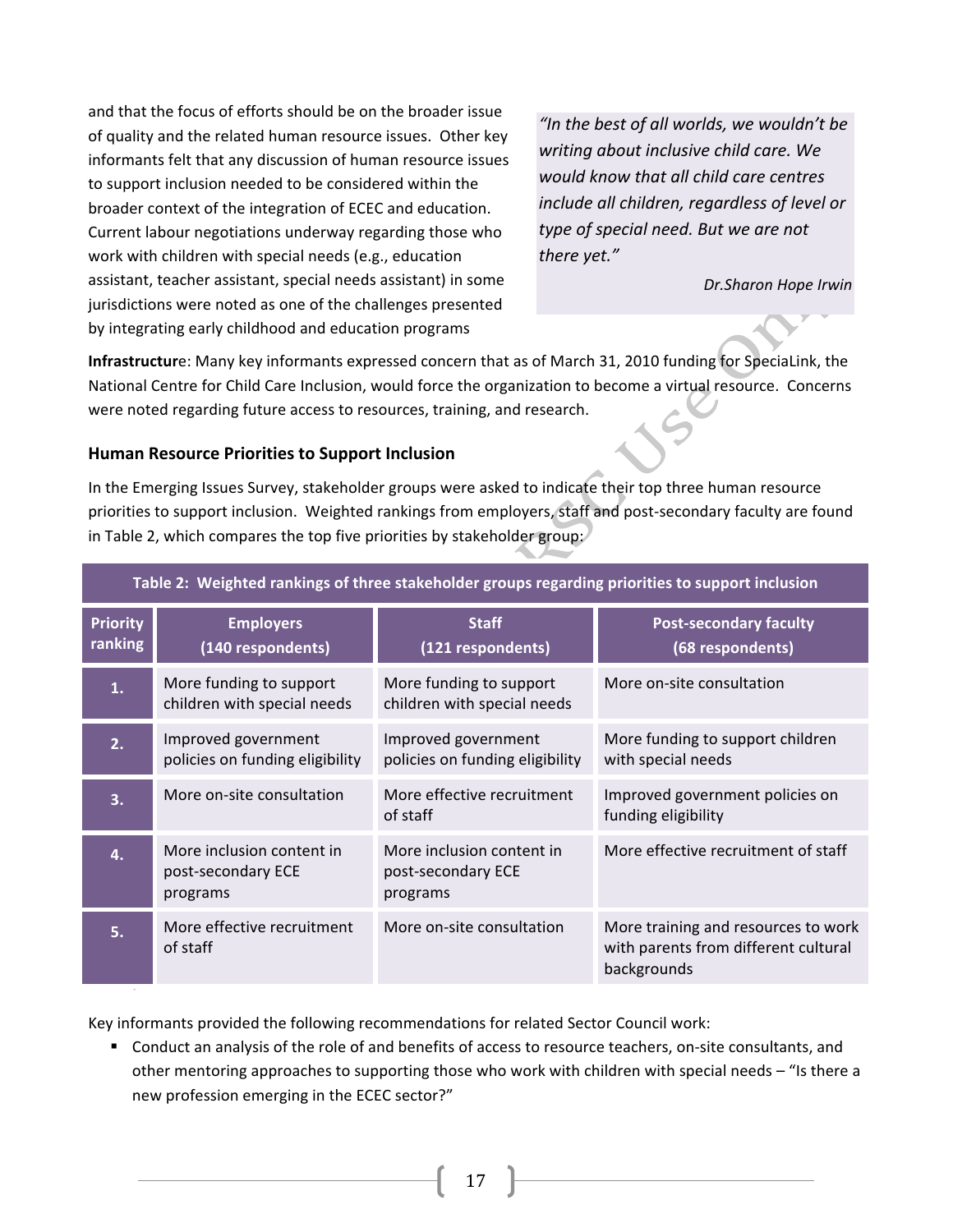and that the focus of efforts should be on the broader issue of quality and the related human resource issues. Other key informants felt that any discussion of human resource issues to support inclusion needed to be considered within the broader context of the integration of ECEC and education. Current labour negotiations underway regarding those who work with children with special needs (e.g., education assistant, teacher assistant, special needs assistant) in some jurisdictions were noted as one of the challenges presented by integrating early childhood and education programs

"In the best of all worlds, we wouldn't be writing about inclusive child care. We would know that all child care centres include all children, regardless of level or type of special need. But we are not there yet."

Dr.Sharon Hope Irwin

Infrastructure: Many key informants expressed concern that as of March 31, 2010 funding for SpeciaLink, the National Centre for Child Care Inclusion, would force the organization to become a virtual resource. Concerns were noted regarding future access to resources, training, and research.

### Human Resource Priorities to Support Inclusion

In the Emerging Issues Survey, stakeholder groups were asked to indicate their top three human resource priorities to support inclusion. Weighted rankings from employers, staff and post-secondary faculty are found in Table 2, which compares the top five priorities by stakeholder group:

| Table 2: Weighted rankings of three stakeholder groups regarding priorities to support inclusion |                                                             |                                                             |                                                                                            |  |  |  |
|--------------------------------------------------------------------------------------------------|-------------------------------------------------------------|-------------------------------------------------------------|--------------------------------------------------------------------------------------------|--|--|--|
| <b>Priority</b><br>ranking                                                                       | <b>Employers</b><br>(140 respondents)                       | <b>Staff</b><br>(121 respondents)                           | <b>Post-secondary faculty</b><br>(68 respondents)                                          |  |  |  |
| 1.                                                                                               | More funding to support<br>children with special needs      | More funding to support<br>children with special needs      | More on-site consultation                                                                  |  |  |  |
| 2.                                                                                               | Improved government<br>policies on funding eligibility      | Improved government<br>policies on funding eligibility      | More funding to support children<br>with special needs                                     |  |  |  |
| 3.                                                                                               | More on-site consultation                                   | More effective recruitment<br>of staff                      | Improved government policies on<br>funding eligibility                                     |  |  |  |
| 4.                                                                                               | More inclusion content in<br>post-secondary ECE<br>programs | More inclusion content in<br>post-secondary ECE<br>programs | More effective recruitment of staff                                                        |  |  |  |
| 5.                                                                                               | More effective recruitment<br>of staff                      | More on-site consultation                                   | More training and resources to work<br>with parents from different cultural<br>backgrounds |  |  |  |

Key informants provided the following recommendations for related Sector Council work:

" Conduct an analysis of the role of and benefits of access to resource teachers, on-site consultants, and other mentoring approaches to supporting those who work with children with special needs – "Is there a new profession emerging in the ECEC sector?"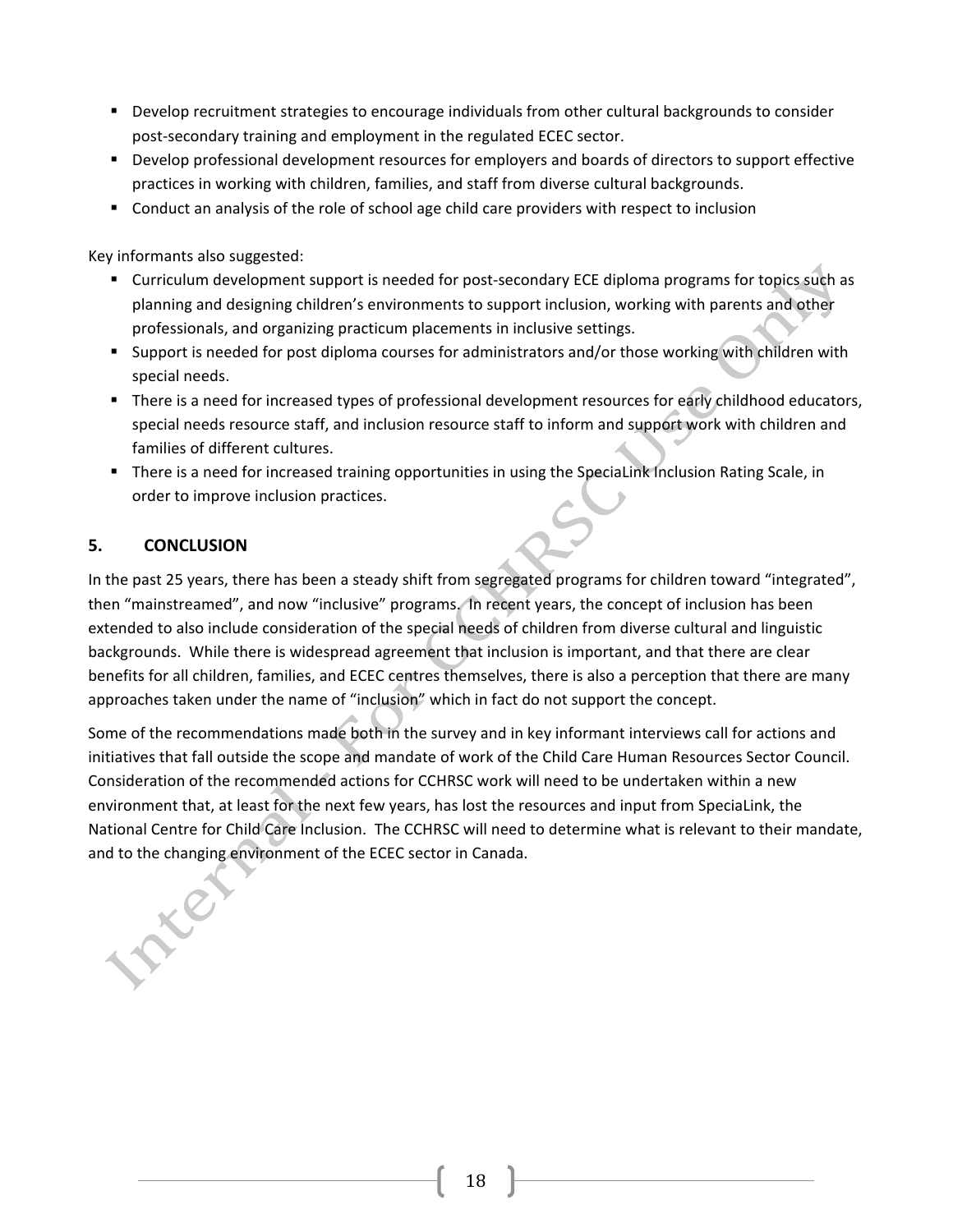- Develop recruitment strategies to encourage individuals from other cultural backgrounds to consider post-secondary training and employment in the regulated ECEC sector.
- Develop professional development resources for employers and boards of directors to support effective practices in working with children, families, and staff from diverse cultural backgrounds.
- Conduct an analysis of the role of school age child care providers with respect to inclusion

Key informants also suggested:

- " Curriculum development support is needed for post-secondary ECE diploma programs for topics such as planning and designing children's environments to support inclusion, working with parents and other professionals, and organizing practicum placements in inclusive settings.
- " Support is needed for post diploma courses for administrators and/or those working with children with special needs.
- " There is a need for increased types of professional development resources for early childhood educators, special needs resource staff, and inclusion resource staff to inform and support work with children and families of different cultures.
- " There is a need for increased training opportunities in using the SpeciaLink Inclusion Rating Scale, in order to improve inclusion practices.

#### 5. **CONCLUSION**

In the past 25 years, there has been a steady shift from segregated programs for children toward "integrated", then "mainstreamed", and now "inclusive" programs. In recent years, the concept of inclusion has been extended to also include consideration of the special needs of children from diverse cultural and linguistic backgrounds. While there is widespread agreement that inclusion is important, and that there are clear benefits for all children, families, and ECEC centres themselves, there is also a perception that there are many approaches taken under the name of "inclusion" which in fact do not support the concept.

Some of the recommendations made both in the survey and in key informant interviews call for actions and initiatives that fall outside the scope and mandate of work of the Child Care Human Resources Sector Council. Consideration of the recommended actions for CCHRSC work will need to be undertaken within a new environment that, at least for the next few years, has lost the resources and input from SpeciaLink, the National Centre for Child Care Inclusion. The CCHRSC will need to determine what is relevant to their mandate, and to the changing environment of the ECEC sector in Canada.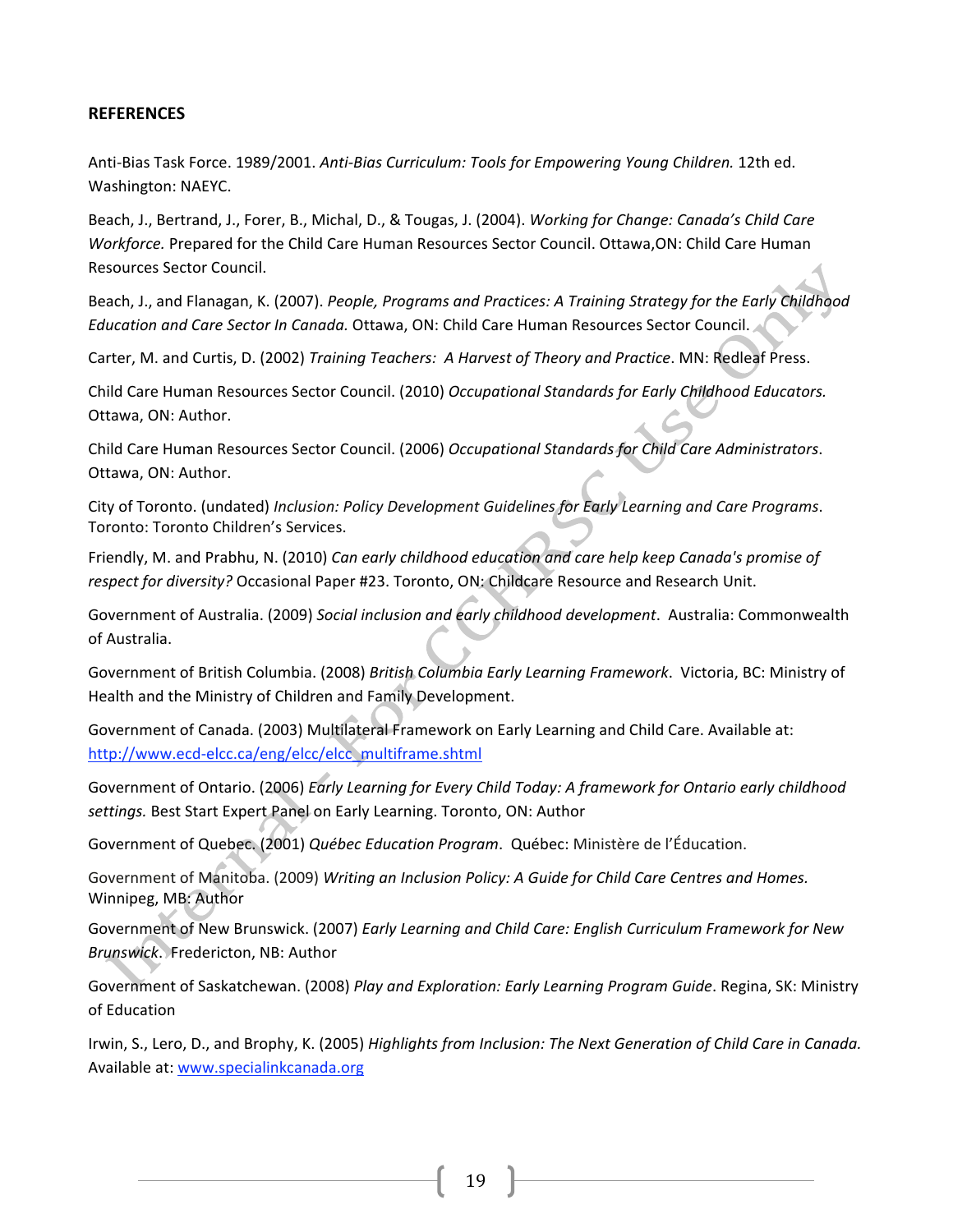### **REFERENCES**

Anti-Bias Task Force. 1989/2001. Anti-Bias Curriculum: Tools for Empowering Young Children. 12th ed. Washington: NAEYC.

Beach, J., Bertrand, J., Forer, B., Michal, D., & Tougas, J. (2004). Working for Change: Canada's Child Care Workforce. Prepared for the Child Care Human Resources Sector Council. Ottawa, ON: Child Care Human Resources Sector Council.

Beach, J., and Flanagan, K. (2007). People, Programs and Practices: A Training Strategy for the Early Childhood Education and Care Sector In Canada. Ottawa, ON: Child Care Human Resources Sector Council.

Carter, M. and Curtis, D. (2002) Training Teachers: A Harvest of Theory and Practice. MN: Redleaf Press.

Child Care Human Resources Sector Council. (2010) Occupational Standards for Early Childhood Educators. Ottawa, ON: Author.

Child Care Human Resources Sector Council. (2006) Occupational Standards for Child Care Administrators. Ottawa, ON: Author.

City of Toronto. (undated) Inclusion: Policy Development Guidelines for Early Learning and Care Programs. Toronto: Toronto Children's Services.

Friendly, M. and Prabhu, N. (2010) Can early childhood education and care help keep Canada's promise of respect for diversity? Occasional Paper #23. Toronto, ON: Childcare Resource and Research Unit.

Government of Australia. (2009) Social inclusion and early childhood development. Australia: Commonwealth of Australia.

Government of British Columbia. (2008) British Columbia Early Learning Framework. Victoria, BC: Ministry of Health and the Ministry of Children and Family Development.

Government of Canada. (2003) Multilateral Framework on Early Learning and Child Care. Available at: http://www.ecd-elcc.ca/eng/elcc/elcc multiframe.shtml

Government of Ontario. (2006) Early Learning for Every Child Today: A framework for Ontario early childhood settings. Best Start Expert Panel on Early Learning. Toronto, ON: Author

Government of Quebec. (2001) Québec Education Program. Québec: Ministère de l'Éducation.

Government of Manitoba. (2009) Writing an Inclusion Policy: A Guide for Child Care Centres and Homes. Winnipeg, MB: Author

Government of New Brunswick. (2007) Early Learning and Child Care: English Curriculum Framework for New Brunswick, Fredericton, NB: Author

Government of Saskatchewan. (2008) Play and Exploration: Early Learning Program Guide. Regina, SK: Ministry of Education

Irwin, S., Lero, D., and Brophy, K. (2005) Highlights from Inclusion: The Next Generation of Child Care in Canada. Available at: www.specialinkcanada.org